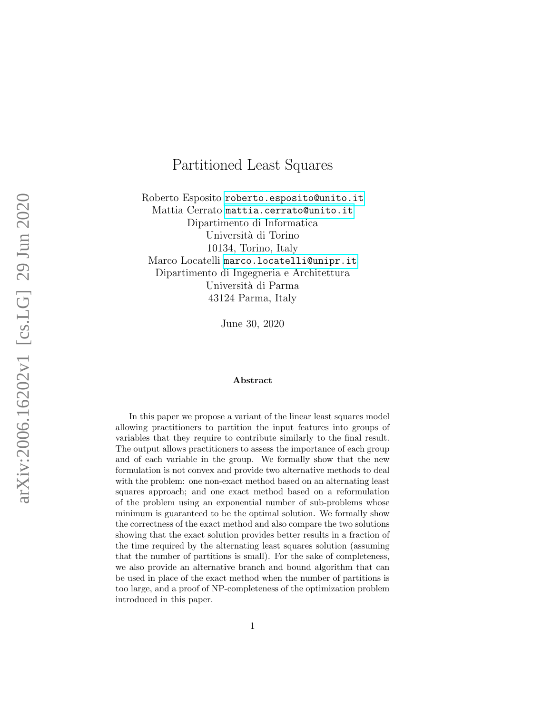# Partitioned Least Squares

Roberto Esposito <roberto.esposito@unito.it> Mattia Cerrato <mattia.cerrato@unito.it> Dipartimento di Informatica Università di Torino 10134, Torino, Italy Marco Locatelli <marco.locatelli@unipr.it> Dipartimento di Ingegneria e Architettura Universit`a di Parma 43124 Parma, Italy

June 30, 2020

#### Abstract

In this paper we propose a variant of the linear least squares model allowing practitioners to partition the input features into groups of variables that they require to contribute similarly to the final result. The output allows practitioners to assess the importance of each group and of each variable in the group. We formally show that the new formulation is not convex and provide two alternative methods to deal with the problem: one non-exact method based on an alternating least squares approach; and one exact method based on a reformulation of the problem using an exponential number of sub-problems whose minimum is guaranteed to be the optimal solution. We formally show the correctness of the exact method and also compare the two solutions showing that the exact solution provides better results in a fraction of the time required by the alternating least squares solution (assuming that the number of partitions is small). For the sake of completeness, we also provide an alternative branch and bound algorithm that can be used in place of the exact method when the number of partitions is too large, and a proof of NP-completeness of the optimization problem introduced in this paper.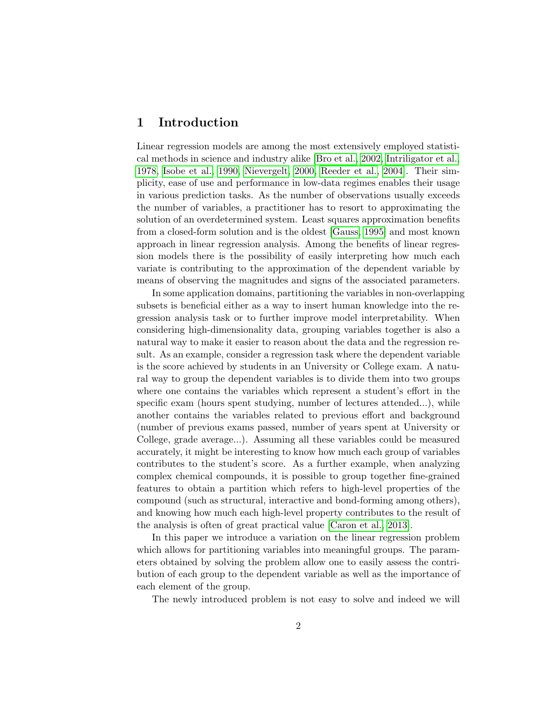## <span id="page-1-0"></span>1 Introduction

Linear regression models are among the most extensively employed statistical methods in science and industry alike [\[Bro et al., 2002,](#page-32-0) [Intriligator et al.,](#page-33-0) [1978,](#page-33-0) [Isobe et al., 1990,](#page-33-1) [Nievergelt, 2000,](#page-34-0) [Reeder et al., 2004\]](#page-34-1). Their simplicity, ease of use and performance in low-data regimes enables their usage in various prediction tasks. As the number of observations usually exceeds the number of variables, a practitioner has to resort to approximating the solution of an overdetermined system. Least squares approximation benefits from a closed-form solution and is the oldest [\[Gauss, 1995\]](#page-33-2) and most known approach in linear regression analysis. Among the benefits of linear regression models there is the possibility of easily interpreting how much each variate is contributing to the approximation of the dependent variable by means of observing the magnitudes and signs of the associated parameters.

In some application domains, partitioning the variables in non-overlapping subsets is beneficial either as a way to insert human knowledge into the regression analysis task or to further improve model interpretability. When considering high-dimensionality data, grouping variables together is also a natural way to make it easier to reason about the data and the regression result. As an example, consider a regression task where the dependent variable is the score achieved by students in an University or College exam. A natural way to group the dependent variables is to divide them into two groups where one contains the variables which represent a student's effort in the specific exam (hours spent studying, number of lectures attended...), while another contains the variables related to previous effort and background (number of previous exams passed, number of years spent at University or College, grade average...). Assuming all these variables could be measured accurately, it might be interesting to know how much each group of variables contributes to the student's score. As a further example, when analyzing complex chemical compounds, it is possible to group together fine-grained features to obtain a partition which refers to high-level properties of the compound (such as structural, interactive and bond-forming among others), and knowing how much each high-level property contributes to the result of the analysis is often of great practical value [\[Caron et al., 2013\]](#page-32-1).

In this paper we introduce a variation on the linear regression problem which allows for partitioning variables into meaningful groups. The parameters obtained by solving the problem allow one to easily assess the contribution of each group to the dependent variable as well as the importance of each element of the group.

The newly introduced problem is not easy to solve and indeed we will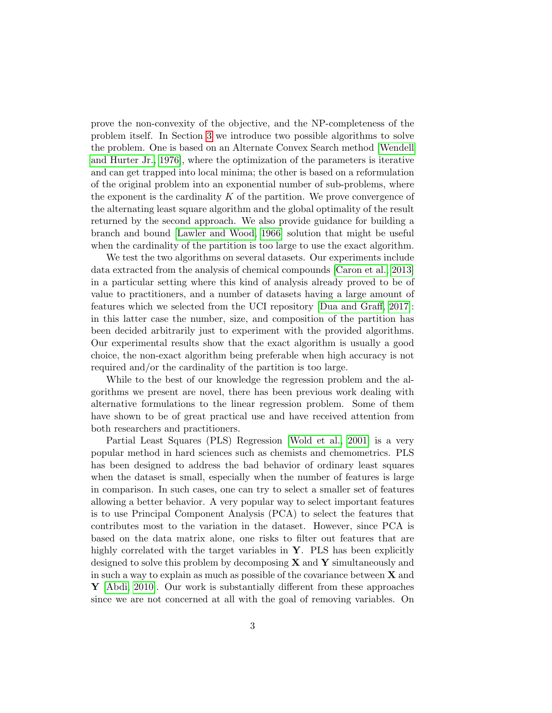prove the non-convexity of the objective, and the NP-completeness of the problem itself. In Section [3](#page-10-0) we introduce two possible algorithms to solve the problem. One is based on an Alternate Convex Search method [\[Wendell](#page-34-2) [and Hurter Jr., 1976\]](#page-34-2), where the optimization of the parameters is iterative and can get trapped into local minima; the other is based on a reformulation of the original problem into an exponential number of sub-problems, where the exponent is the cardinality  $K$  of the partition. We prove convergence of the alternating least square algorithm and the global optimality of the result returned by the second approach. We also provide guidance for building a branch and bound [\[Lawler and Wood, 1966\]](#page-33-3) solution that might be useful when the cardinality of the partition is too large to use the exact algorithm.

We test the two algorithms on several datasets. Our experiments include data extracted from the analysis of chemical compounds [\[Caron et al., 2013\]](#page-32-1) in a particular setting where this kind of analysis already proved to be of value to practitioners, and a number of datasets having a large amount of features which we selected from the UCI repository [\[Dua and Graff, 2017\]](#page-32-2): in this latter case the number, size, and composition of the partition has been decided arbitrarily just to experiment with the provided algorithms. Our experimental results show that the exact algorithm is usually a good choice, the non-exact algorithm being preferable when high accuracy is not required and/or the cardinality of the partition is too large.

While to the best of our knowledge the regression problem and the algorithms we present are novel, there has been previous work dealing with alternative formulations to the linear regression problem. Some of them have shown to be of great practical use and have received attention from both researchers and practitioners.

Partial Least Squares (PLS) Regression [\[Wold et al., 2001\]](#page-34-3) is a very popular method in hard sciences such as chemists and chemometrics. PLS has been designed to address the bad behavior of ordinary least squares when the dataset is small, especially when the number of features is large in comparison. In such cases, one can try to select a smaller set of features allowing a better behavior. A very popular way to select important features is to use Principal Component Analysis (PCA) to select the features that contributes most to the variation in the dataset. However, since PCA is based on the data matrix alone, one risks to filter out features that are highly correlated with the target variables in  $\bf{Y}$ . PLS has been explicitly designed to solve this problem by decomposing  $X$  and  $Y$  simultaneously and in such a way to explain as much as possible of the covariance between  $\bf{X}$  and Y [\[Abdi, 2010\]](#page-32-3). Our work is substantially different from these approaches since we are not concerned at all with the goal of removing variables. On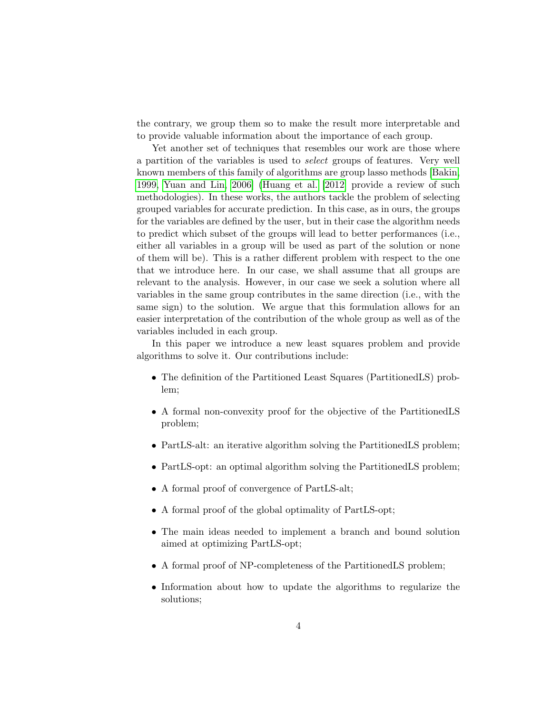the contrary, we group them so to make the result more interpretable and to provide valuable information about the importance of each group.

Yet another set of techniques that resembles our work are those where a partition of the variables is used to select groups of features. Very well known members of this family of algorithms are group lasso methods [\[Bakin,](#page-32-4) [1999,](#page-32-4) [Yuan and Lin, 2006\]](#page-34-4) [\(Huang et al.](#page-33-4) [\[2012\]](#page-33-4) provide a review of such methodologies). In these works, the authors tackle the problem of selecting grouped variables for accurate prediction. In this case, as in ours, the groups for the variables are defined by the user, but in their case the algorithm needs to predict which subset of the groups will lead to better performances (i.e., either all variables in a group will be used as part of the solution or none of them will be). This is a rather different problem with respect to the one that we introduce here. In our case, we shall assume that all groups are relevant to the analysis. However, in our case we seek a solution where all variables in the same group contributes in the same direction (i.e., with the same sign) to the solution. We argue that this formulation allows for an easier interpretation of the contribution of the whole group as well as of the variables included in each group.

In this paper we introduce a new least squares problem and provide algorithms to solve it. Our contributions include:

- The definition of the Partitioned Least Squares (PartitionedLS) problem;
- A formal non-convexity proof for the objective of the PartitionedLS problem;
- PartLS-alt: an iterative algorithm solving the PartitionedLS problem;
- PartLS-opt: an optimal algorithm solving the PartitionedLS problem;
- A formal proof of convergence of PartLS-alt;
- A formal proof of the global optimality of PartLS-opt;
- The main ideas needed to implement a branch and bound solution aimed at optimizing PartLS-opt;
- A formal proof of NP-completeness of the PartitionedLS problem;
- Information about how to update the algorithms to regularize the solutions;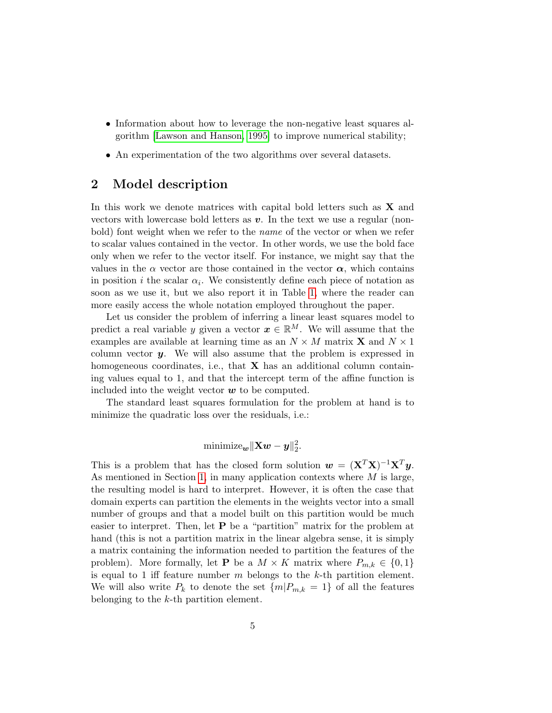- Information about how to leverage the non-negative least squares algorithm [\[Lawson and Hanson, 1995\]](#page-33-5) to improve numerical stability;
- An experimentation of the two algorithms over several datasets.

### 2 Model description

In this work we denote matrices with capital bold letters such as  $X$  and vectors with lowercase bold letters as  $v$ . In the text we use a regular (nonbold) font weight when we refer to the name of the vector or when we refer to scalar values contained in the vector. In other words, we use the bold face only when we refer to the vector itself. For instance, we might say that the values in the  $\alpha$  vector are those contained in the vector  $\alpha$ , which contains in position *i* the scalar  $\alpha_i$ . We consistently define each piece of notation as soon as we use it, but we also report it in Table [1,](#page-5-0) where the reader can more easily access the whole notation employed throughout the paper.

Let us consider the problem of inferring a linear least squares model to predict a real variable y given a vector  $x \in \mathbb{R}^M$ . We will assume that the examples are available at learning time as an  $N \times M$  matrix **X** and  $N \times 1$ column vector  $y$ . We will also assume that the problem is expressed in homogeneous coordinates, i.e., that  $X$  has an additional column containing values equal to 1, and that the intercept term of the affine function is included into the weight vector  $w$  to be computed.

The standard least squares formulation for the problem at hand is to minimize the quadratic loss over the residuals, i.e.:

$$
\text{minimize}_{\boldsymbol{w}} \|\mathbf{X}\boldsymbol{w} - \boldsymbol{y}\|_2^2.
$$

This is a problem that has the closed form solution  $\mathbf{w} = (\mathbf{X}^T \mathbf{X})^{-1} \mathbf{X}^T \mathbf{y}$ . As mentioned in Section [1,](#page-1-0) in many application contexts where  $M$  is large, the resulting model is hard to interpret. However, it is often the case that domain experts can partition the elements in the weights vector into a small number of groups and that a model built on this partition would be much easier to interpret. Then, let P be a "partition" matrix for the problem at hand (this is not a partition matrix in the linear algebra sense, it is simply a matrix containing the information needed to partition the features of the problem). More formally, let **P** be a  $M \times K$  matrix where  $P_{m,k} \in \{0,1\}$ is equal to 1 iff feature number  $m$  belongs to the  $k$ -th partition element. We will also write  $P_k$  to denote the set  $\{m|P_{m,k}=1\}$  of all the features belonging to the k-th partition element.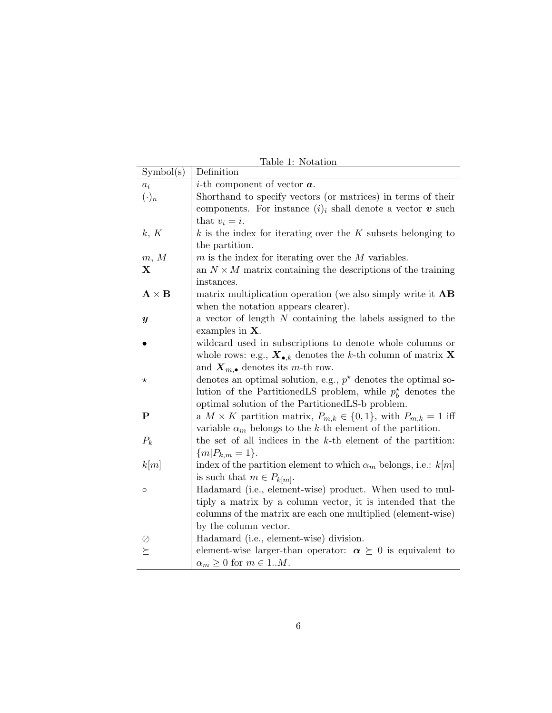|                         | rable 1: Notation                                                                                                    |
|-------------------------|----------------------------------------------------------------------------------------------------------------------|
| Symbol(s)               | Definition                                                                                                           |
| $a_i$                   | <i>i</i> -th component of vector $a$ .                                                                               |
| $(\cdot)_n$             | Shorthand to specify vectors (or matrices) in terms of their                                                         |
|                         | components. For instance $(i)_i$ shall denote a vector v such                                                        |
|                         | that $v_i = i$ .                                                                                                     |
| k, K                    | $k$ is the index for iterating over the $K$ subsets belonging to                                                     |
| m, M                    | the partition.<br>$m$ is the index for iterating over the $M$ variables.                                             |
| X                       | an $N \times M$ matrix containing the descriptions of the training                                                   |
|                         | instances.                                                                                                           |
| ${\bf A}\times {\bf B}$ | matrix multiplication operation (we also simply write it AB                                                          |
|                         | when the notation appears clearer).                                                                                  |
| $\bm{y}$                | a vector of length N containing the labels assigned to the                                                           |
|                         | examples in $X$ .                                                                                                    |
|                         | wildcard used in subscriptions to denote whole columns or                                                            |
|                         | whole rows: e.g., $X_{\bullet,k}$ denotes the k-th column of matrix X                                                |
|                         | and $\mathbf{X}_{m,\bullet}$ denotes its <i>m</i> -th row.                                                           |
| $^\star$                | denotes an optimal solution, e.g., $p^*$ denotes the optimal so-                                                     |
|                         | lution of the Partitioned LS problem, while $p_b^*$ denotes the<br>optimal solution of the Partitioned LS-b problem. |
| $\mathbf P$             | a $M \times K$ partition matrix, $P_{m,k} \in \{0,1\}$ , with $P_{m,k} = 1$ iff                                      |
|                         | variable $\alpha_m$ belongs to the k-th element of the partition.                                                    |
| $P_k$                   | the set of all indices in the $k$ -th element of the partition:                                                      |
|                         | ${m P_{k,m}=1}.$                                                                                                     |
| k[m]                    | index of the partition element to which $\alpha_m$ belongs, i.e.: $k[m]$                                             |
|                         | is such that $m \in P_{k[m]}$ .                                                                                      |
| O                       | Hadamard (i.e., element-wise) product. When used to mul-                                                             |
|                         | tiply a matrix by a column vector, it is intended that the                                                           |
|                         | columns of the matrix are each one multiplied (element-wise)                                                         |
|                         | by the column vector.                                                                                                |
| Ø                       | Hadamard (i.e., element-wise) division.                                                                              |
| $\succeq$               | element-wise larger-than operator: $\alpha \succeq 0$ is equivalent to                                               |
|                         | $\alpha_m \geq 0$ for $m \in 1M$ .                                                                                   |
|                         |                                                                                                                      |

<span id="page-5-0"></span>Table 1: Notation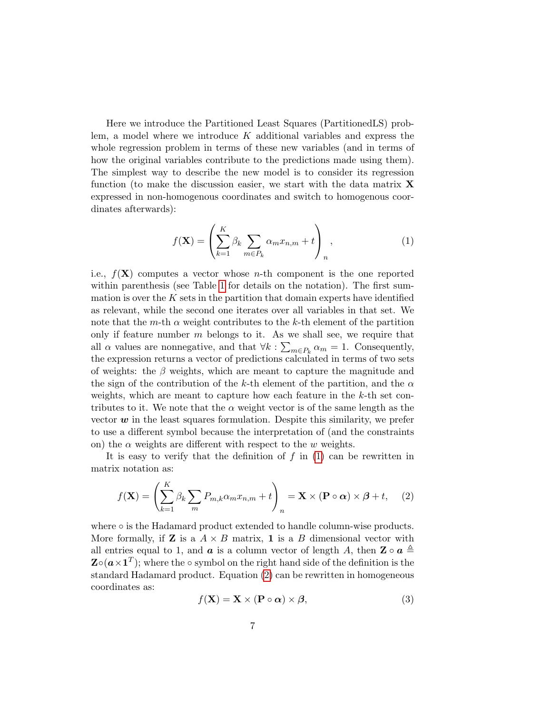Here we introduce the Partitioned Least Squares (PartitionedLS) problem, a model where we introduce  $K$  additional variables and express the whole regression problem in terms of these new variables (and in terms of how the original variables contribute to the predictions made using them). The simplest way to describe the new model is to consider its regression function (to make the discussion easier, we start with the data matrix  $\bf{X}$ expressed in non-homogenous coordinates and switch to homogenous coordinates afterwards):

<span id="page-6-0"></span>
$$
f(\mathbf{X}) = \left(\sum_{k=1}^{K} \beta_k \sum_{m \in P_k} \alpha_m x_{n,m} + t\right)_n, \qquad (1)
$$

i.e.,  $f(\mathbf{X})$  computes a vector whose *n*-th component is the one reported within parenthesis (see Table [1](#page-5-0) for details on the notation). The first summation is over the  $K$  sets in the partition that domain experts have identified as relevant, while the second one iterates over all variables in that set. We note that the m-th  $\alpha$  weight contributes to the k-th element of the partition only if feature number  $m$  belongs to it. As we shall see, we require that all  $\alpha$  values are nonnegative, and that  $\forall k : \sum_{m \in P_k} \alpha_m = 1$ . Consequently, the expression returns a vector of predictions calculated in terms of two sets of weights: the  $\beta$  weights, which are meant to capture the magnitude and the sign of the contribution of the k-th element of the partition, and the  $\alpha$ weights, which are meant to capture how each feature in the  $k$ -th set contributes to it. We note that the  $\alpha$  weight vector is of the same length as the vector  $w$  in the least squares formulation. Despite this similarity, we prefer to use a different symbol because the interpretation of (and the constraints on) the  $\alpha$  weights are different with respect to the w weights.

It is easy to verify that the definition of  $f$  in  $(1)$  can be rewritten in matrix notation as:

<span id="page-6-1"></span>
$$
f(\mathbf{X}) = \left(\sum_{k=1}^{K} \beta_k \sum_{m} P_{m,k} \alpha_m x_{n,m} + t\right)_n = \mathbf{X} \times (\mathbf{P} \circ \boldsymbol{\alpha}) \times \boldsymbol{\beta} + t,\qquad(2)
$$

where ∘ is the Hadamard product extended to handle column-wise products. More formally, if **Z** is a  $A \times B$  matrix, **1** is a B dimensional vector with all entries equal to 1, and  $\boldsymbol{a}$  is a column vector of length A, then  $\mathbf{Z} \circ \boldsymbol{a} \triangleq$  $\mathbf{Z} \circ (\boldsymbol{a} \times \mathbf{1}^T)$ ; where the  $\circ$  symbol on the right hand side of the definition is the standard Hadamard product. Equation [\(2\)](#page-6-1) can be rewritten in homogeneous coordinates as:

<span id="page-6-2"></span>
$$
f(\mathbf{X}) = \mathbf{X} \times (\mathbf{P} \circ \boldsymbol{\alpha}) \times \boldsymbol{\beta},\tag{3}
$$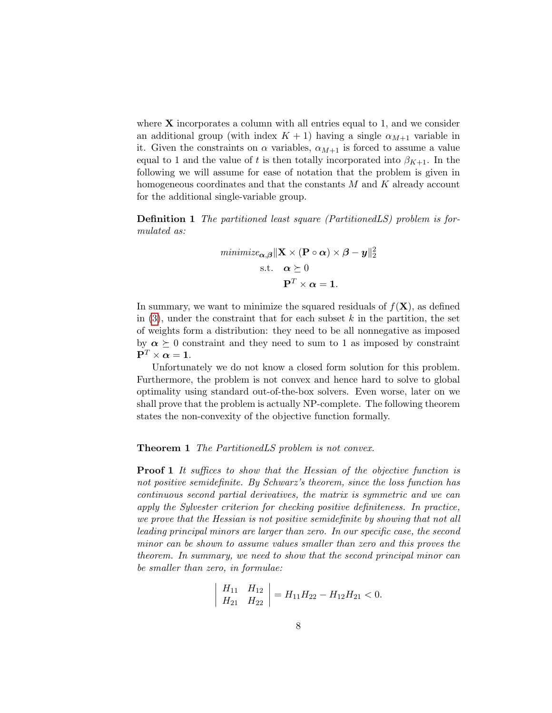where  $X$  incorporates a column with all entries equal to 1, and we consider an additional group (with index  $K + 1$ ) having a single  $\alpha_{M+1}$  variable in it. Given the constraints on  $\alpha$  variables,  $\alpha_{M+1}$  is forced to assume a value equal to 1 and the value of t is then totally incorporated into  $\beta_{K+1}$ . In the following we will assume for ease of notation that the problem is given in homogeneous coordinates and that the constants  $M$  and  $K$  already account for the additional single-variable group.

Definition 1 The partitioned least square (PartitionedLS) problem is formulated as:

$$
minimize_{\alpha,\beta} \|\mathbf{X} \times (\mathbf{P} \circ \alpha) \times \beta - \mathbf{y}\|_2^2
$$
  
s.t.  $\alpha \succeq 0$   

$$
\mathbf{P}^T \times \alpha = 1.
$$

In summary, we want to minimize the squared residuals of  $f(\mathbf{X})$ , as defined in  $(3)$ , under the constraint that for each subset k in the partition, the set of weights form a distribution: they need to be all nonnegative as imposed by  $\alpha \succeq 0$  constraint and they need to sum to 1 as imposed by constraint  ${\bf P}^T\times {\boldsymbol{\alpha}} = {\bf 1}.$ 

Unfortunately we do not know a closed form solution for this problem. Furthermore, the problem is not convex and hence hard to solve to global optimality using standard out-of-the-box solvers. Even worse, later on we shall prove that the problem is actually NP-complete. The following theorem states the non-convexity of the objective function formally.

#### Theorem 1 The PartitionedLS problem is not convex.

**Proof 1** It suffices to show that the Hessian of the objective function is not positive semidefinite. By Schwarz's theorem, since the loss function has continuous second partial derivatives, the matrix is symmetric and we can apply the Sylvester criterion for checking positive definiteness. In practice, we prove that the Hessian is not positive semidefinite by showing that not all leading principal minors are larger than zero. In our specific case, the second minor can be shown to assume values smaller than zero and this proves the theorem. In summary, we need to show that the second principal minor can be smaller than zero, in formulae:

$$
\left| \begin{array}{cc} H_{11} & H_{12} \\ H_{21} & H_{22} \end{array} \right| = H_{11} H_{22} - H_{12} H_{21} < 0.
$$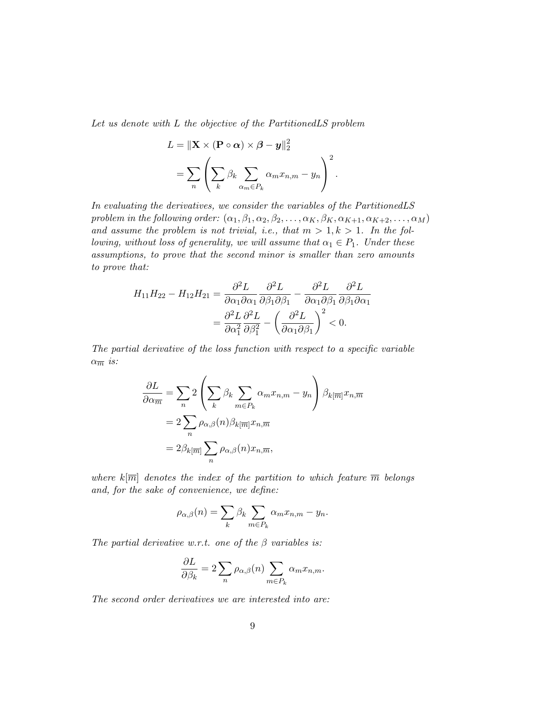Let us denote with L the objective of the PartitionedLS problem

$$
L = \|\mathbf{X} \times (\mathbf{P} \circ \boldsymbol{\alpha}) \times \boldsymbol{\beta} - \boldsymbol{y}\|_2^2
$$
  
= 
$$
\sum_{n} \left( \sum_{k} \beta_k \sum_{\alpha_m \in P_k} \alpha_m x_{n,m} - y_n \right)^2.
$$

In evaluating the derivatives, we consider the variables of the PartitionedLS problem in the following order:  $(\alpha_1, \beta_1, \alpha_2, \beta_2, \ldots, \alpha_K, \beta_K, \alpha_{K+1}, \alpha_{K+2}, \ldots, \alpha_M)$ and assume the problem is not trivial, i.e., that  $m > 1, k > 1$ . In the following, without loss of generality, we will assume that  $\alpha_1 \in P_1$ . Under these assumptions, to prove that the second minor is smaller than zero amounts to prove that:

$$
H_{11}H_{22} - H_{12}H_{21} = \frac{\partial^2 L}{\partial \alpha_1 \partial \alpha_1} \frac{\partial^2 L}{\partial \beta_1 \partial \beta_1} - \frac{\partial^2 L}{\partial \alpha_1 \partial \beta_1} \frac{\partial^2 L}{\partial \beta_1 \partial \alpha_1}
$$

$$
= \frac{\partial^2 L}{\partial \alpha_1^2} \frac{\partial^2 L}{\partial \beta_1^2} - \left(\frac{\partial^2 L}{\partial \alpha_1 \partial \beta_1}\right)^2 < 0.
$$

The partial derivative of the loss function with respect to a specific variable  $\alpha_{\overline{m}}$  is:

$$
\frac{\partial L}{\partial \alpha_{\overline{m}}} = \sum_{n} 2 \left( \sum_{k} \beta_{k} \sum_{m \in P_{k}} \alpha_{m} x_{n,m} - y_{n} \right) \beta_{k[\overline{m}]} x_{n,\overline{m}}
$$

$$
= 2 \sum_{n} \rho_{\alpha,\beta}(n) \beta_{k[\overline{m}]} x_{n,\overline{m}}
$$

$$
= 2 \beta_{k[\overline{m}]} \sum_{n} \rho_{\alpha,\beta}(n) x_{n,\overline{m}},
$$

where  $k[\overline{m}]$  denotes the index of the partition to which feature  $\overline{m}$  belongs and, for the sake of convenience, we define:

$$
\rho_{\alpha,\beta}(n) = \sum_{k} \beta_k \sum_{m \in P_k} \alpha_m x_{n,m} - y_n.
$$

The partial derivative w.r.t. one of the  $\beta$  variables is:

$$
\frac{\partial L}{\partial \beta_k} = 2 \sum_n \rho_{\alpha,\beta}(n) \sum_{m \in P_k} \alpha_m x_{n,m}.
$$

The second order derivatives we are interested into are: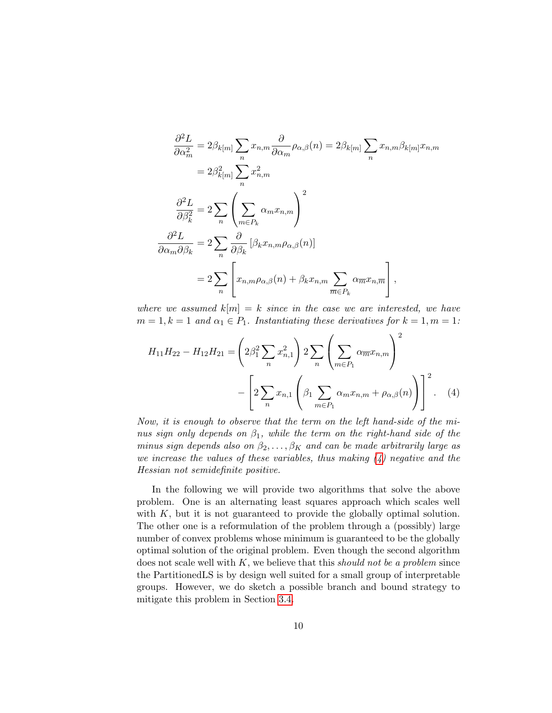$$
\frac{\partial^2 L}{\partial \alpha_m^2} = 2\beta_{k[m]} \sum_n x_{n,m} \frac{\partial}{\partial \alpha_m} \rho_{\alpha,\beta}(n) = 2\beta_{k[m]} \sum_n x_{n,m} \beta_{k[m]} x_{n,m}
$$
  
\n
$$
= 2\beta_{k[m]}^2 \sum_n x_{n,m}^2
$$
  
\n
$$
\frac{\partial^2 L}{\partial \beta_k^2} = 2 \sum_n \left( \sum_{m \in P_k} \alpha_m x_{n,m} \right)^2
$$
  
\n
$$
\frac{\partial^2 L}{\partial \alpha_m \partial \beta_k} = 2 \sum_n \frac{\partial}{\partial \beta_k} [\beta_k x_{n,m} \rho_{\alpha,\beta}(n)]
$$
  
\n
$$
= 2 \sum_n \left[ x_{n,m} \rho_{\alpha,\beta}(n) + \beta_k x_{n,m} \sum_{\overline{m} \in P_k} \alpha_{\overline{m}} x_{n,\overline{m}} \right],
$$

where we assumed  $k[m] = k$  since in the case we are interested, we have  $m = 1, k = 1$  and  $\alpha_1 \in P_1$ . Instantiating these derivatives for  $k = 1, m = 1$ :

<span id="page-9-0"></span>
$$
H_{11}H_{22} - H_{12}H_{21} = \left(2\beta_1^2 \sum_n x_{n,1}^2\right) 2 \sum_n \left(\sum_{m \in P_1} \alpha_m x_{n,m}\right)^2 - \left[2 \sum_n x_{n,1} \left(\beta_1 \sum_{m \in P_1} \alpha_m x_{n,m} + \rho_{\alpha,\beta}(n)\right)\right]^2.
$$
 (4)

Now, it is enough to observe that the term on the left hand-side of the minus sign only depends on  $\beta_1$ , while the term on the right-hand side of the minus sign depends also on  $\beta_2, \ldots, \beta_K$  and can be made arbitrarily large as we increase the values of these variables, thus making  $(4)$  negative and the Hessian not semidefinite positive.

In the following we will provide two algorithms that solve the above problem. One is an alternating least squares approach which scales well with  $K$ , but it is not guaranteed to provide the globally optimal solution. The other one is a reformulation of the problem through a (possibly) large number of convex problems whose minimum is guaranteed to be the globally optimal solution of the original problem. Even though the second algorithm does not scale well with  $K$ , we believe that this *should not be a problem* since the PartitionedLS is by design well suited for a small group of interpretable groups. However, we do sketch a possible branch and bound strategy to mitigate this problem in Section [3.4.](#page-18-0)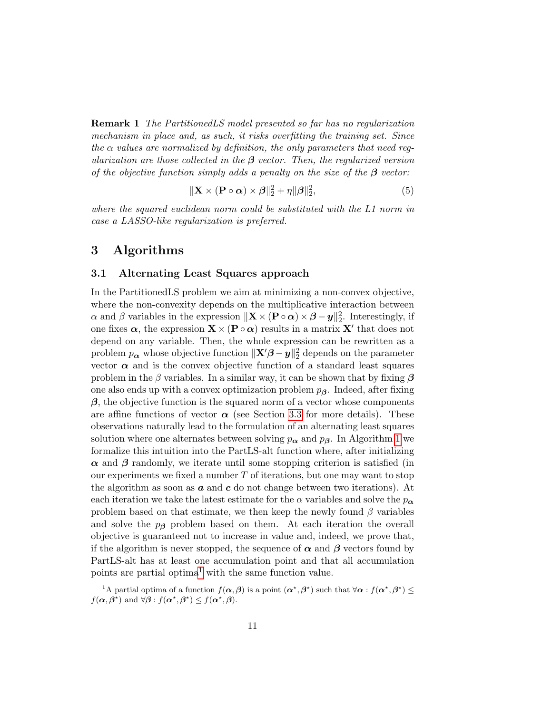Remark 1 The PartitionedLS model presented so far has no regularization mechanism in place and, as such, it risks overfitting the training set. Since the  $\alpha$  values are normalized by definition, the only parameters that need regularization are those collected in the  $\beta$  vector. Then, the regularized version of the objective function simply adds a penalty on the size of the  $\beta$  vector:

<span id="page-10-2"></span>
$$
\|\mathbf{X} \times (\mathbf{P} \circ \boldsymbol{\alpha}) \times \boldsymbol{\beta}\|_{2}^{2} + \eta \|\boldsymbol{\beta}\|_{2}^{2},\tag{5}
$$

where the squared euclidean norm could be substituted with the L1 norm in case a LASSO-like regularization is preferred.

### <span id="page-10-0"></span>3 Algorithms

### <span id="page-10-3"></span>3.1 Alternating Least Squares approach

In the PartitionedLS problem we aim at minimizing a non-convex objective, where the non-convexity depends on the multiplicative interaction between  $\alpha$  and  $\beta$  variables in the expression  $\|\mathbf{X} \times (\mathbf{P} \circ \alpha) \times \beta - \mathbf{y}\|_2^2$ . Interestingly, if one fixes  $\alpha$ , the expression  $X \times (P \circ \alpha)$  results in a matrix  $X'$  that does not depend on any variable. Then, the whole expression can be rewritten as a problem  $p_{\boldsymbol{\alpha}}$  whose objective function  $\|\mathbf{X}'\boldsymbol{\beta} - \boldsymbol{y}\|_2^2$  depends on the parameter vector  $\alpha$  and is the convex objective function of a standard least squares problem in the β variables. In a similar way, it can be shown that by fixing  $\beta$ one also ends up with a convex optimization problem  $p_{\beta}$ . Indeed, after fixing  $\beta$ , the objective function is the squared norm of a vector whose components are affine functions of vector  $\alpha$  (see Section [3.3](#page-15-0) for more details). These observations naturally lead to the formulation of an alternating least squares solution where one alternates between solving  $p_{\alpha}$  and  $p_{\beta}$ . In Algorithm [1](#page-12-0) we formalize this intuition into the PartLS-alt function where, after initializing  $\alpha$  and  $\beta$  randomly, we iterate until some stopping criterion is satisfied (in our experiments we fixed a number  $T$  of iterations, but one may want to stop the algorithm as soon as  $\boldsymbol{a}$  and  $\boldsymbol{c}$  do not change between two iterations). At each iteration we take the latest estimate for the  $\alpha$  variables and solve the  $p_{\alpha}$ problem based on that estimate, we then keep the newly found  $\beta$  variables and solve the  $p<sub>\beta</sub>$  problem based on them. At each iteration the overall objective is guaranteed not to increase in value and, indeed, we prove that, if the algorithm is never stopped, the sequence of  $\alpha$  and  $\beta$  vectors found by PartLS-alt has at least one accumulation point and that all accumulation points are partial optima<sup>[1](#page-10-1)</sup> with the same function value.

<span id="page-10-1"></span><sup>&</sup>lt;sup>1</sup>A partial optima of a function  $f(\alpha, \beta)$  is a point  $(\alpha^*, \beta^*)$  such that  $\forall \alpha : f(\alpha^*, \beta^*) \leq$  $f(\boldsymbol{\alpha}, \boldsymbol{\beta}^{\star})$  and  $\forall \boldsymbol{\beta} : f(\boldsymbol{\alpha}^{\star}, \boldsymbol{\beta}^{\star}) \leq f(\boldsymbol{\alpha}^{\star}, \boldsymbol{\beta}).$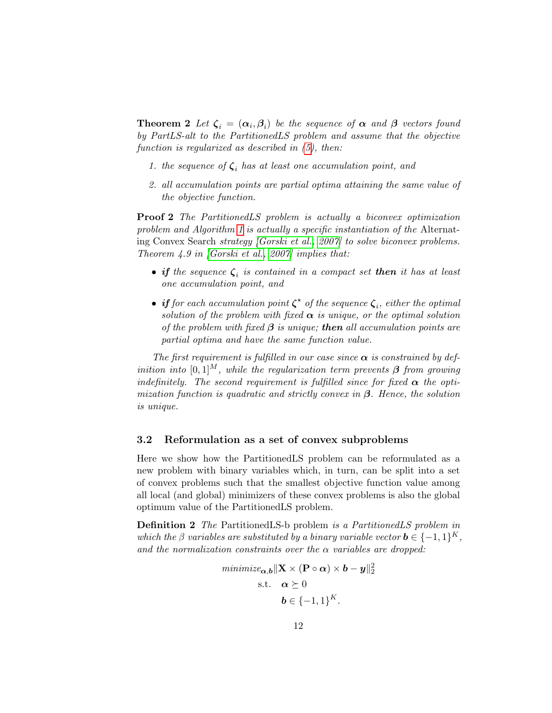**Theorem 2** Let  $\zeta_i = (\alpha_i, \beta_i)$  be the sequence of  $\alpha$  and  $\beta$  vectors found by PartLS-alt to the PartitionedLS problem and assume that the objective function is regularized as described in [\(5\)](#page-10-2), then:

- 1. the sequence of  $\zeta_i$  has at least one accumulation point, and
- 2. all accumulation points are partial optima attaining the same value of the objective function.

Proof 2 The PartitionedLS problem is actually a biconvex optimization problem and Algorithm [1](#page-12-0) is actually a specific instantiation of the Alternating Convex Search strategy [\[Gorski et al., 2007\]](#page-33-6) to solve biconvex problems. Theorem 4.9 in [\[Gorski et al., 2007\]](#page-33-6) implies that:

- if the sequence  $\zeta_i$  is contained in a compact set then it has at least one accumulation point, and
- if for each accumulation point  $\zeta^*$  of the sequence  $\zeta_i$ , either the optimal solution of the problem with fixed  $\alpha$  is unique, or the optimal solution of the problem with fixed  $\beta$  is unique; then all accumulation points are partial optima and have the same function value.

The first requirement is fulfilled in our case since  $\alpha$  is constrained by definition into  $[0, 1]^M$ , while the regularization term prevents  $\beta$  from growing indefinitely. The second requirement is fulfilled since for fixed  $\alpha$  the optimization function is quadratic and strictly convex in  $\beta$ . Hence, the solution is unique.

### <span id="page-11-0"></span>3.2 Reformulation as a set of convex subproblems

Here we show how the PartitionedLS problem can be reformulated as a new problem with binary variables which, in turn, can be split into a set of convex problems such that the smallest objective function value among all local (and global) minimizers of these convex problems is also the global optimum value of the PartitionedLS problem.

Definition 2 The PartitionedLS-b problem is a PartitionedLS problem in which the  $\beta$  variables are substituted by a binary variable vector  $\mathbf{b} \in \{-1,1\}^K$ , and the normalization constraints over the  $\alpha$  variables are dropped:

$$
minimize_{\alpha, b} ||\mathbf{X} \times (\mathbf{P} \circ \alpha) \times b - y||_2^2
$$
  
s.t.  $\alpha \succeq 0$   
 $b \in \{-1, 1\}^K$ .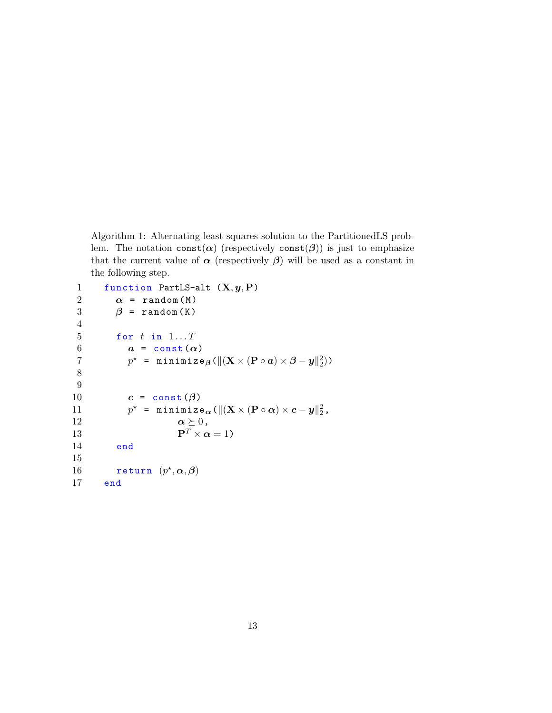<span id="page-12-0"></span>Algorithm 1: Alternating least squares solution to the PartitionedLS problem. The notation const( $\alpha$ ) (respectively const( $\beta$ )) is just to emphasize that the current value of  $\alpha$  (respectively  $\beta$ ) will be used as a constant in the following step.

```
1 function PartLS-alt (X, y, P)2 \alpha = random (M)
 3 \beta = random (K)
 4
 5 for t in 1...T6 a = const(\alpha)7 p^* = \text{minimize}_{\beta} (\|(\mathbf{X} \times (\mathbf{P} \circ \boldsymbol{a}) \times \boldsymbol{\beta} - \boldsymbol{y}\|_2^2))8
 9
10 c = const(\beta)11^\star = minimize_\alpha\,(\|({\mathbf X}\times({\mathbf P}\circ\alpha)\times{\boldsymbol c}-y\|_2^2\,,12 \alpha \succeq 0,
13 \mathbf{P}^T \times \boldsymbol{\alpha} = 1)
14 end
15
16 return (p^*, \alpha, \beta)17 end
```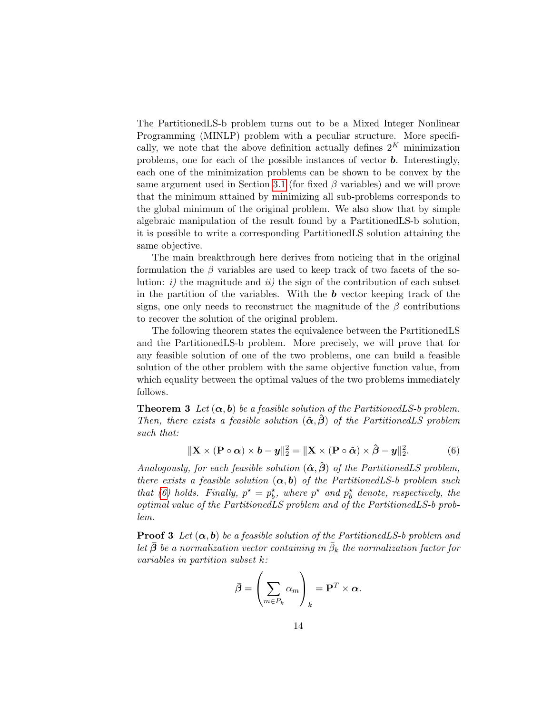The PartitionedLS-b problem turns out to be a Mixed Integer Nonlinear Programming (MINLP) problem with a peculiar structure. More specifically, we note that the above definition actually defines  $2<sup>K</sup>$  minimization problems, one for each of the possible instances of vector  $\boldsymbol{b}$ . Interestingly, each one of the minimization problems can be shown to be convex by the same argument used in Section [3.1](#page-10-3) (for fixed  $\beta$  variables) and we will prove that the minimum attained by minimizing all sub-problems corresponds to the global minimum of the original problem. We also show that by simple algebraic manipulation of the result found by a PartitionedLS-b solution, it is possible to write a corresponding PartitionedLS solution attaining the same objective.

The main breakthrough here derives from noticing that in the original formulation the  $\beta$  variables are used to keep track of two facets of the solution: i) the magnitude and ii) the sign of the contribution of each subset in the partition of the variables. With the  $\boldsymbol{b}$  vector keeping track of the signs, one only needs to reconstruct the magnitude of the  $\beta$  contributions to recover the solution of the original problem.

The following theorem states the equivalence between the PartitionedLS and the PartitionedLS-b problem. More precisely, we will prove that for any feasible solution of one of the two problems, one can build a feasible solution of the other problem with the same objective function value, from which equality between the optimal values of the two problems immediately follows.

**Theorem 3** Let  $(\alpha, b)$  be a feasible solution of the PartitionedLS-b problem. Then, there exists a feasible solution  $(\hat{\alpha}, \hat{\beta})$  of the PartitionedLS problem such that:

<span id="page-13-0"></span>
$$
\|\mathbf{X} \times (\mathbf{P} \circ \boldsymbol{\alpha}) \times \boldsymbol{b} - \boldsymbol{y}\|_2^2 = \|\mathbf{X} \times (\mathbf{P} \circ \hat{\boldsymbol{\alpha}}) \times \hat{\boldsymbol{\beta}} - \boldsymbol{y}\|_2^2. \tag{6}
$$

Analogously, for each feasible solution  $(\hat{\alpha}, \hat{\beta})$  of the PartitionedLS problem, there exists a feasible solution  $(\alpha, b)$  of the PartitionedLS-b problem such that [\(6\)](#page-13-0) holds. Finally,  $p^* = p_b^*$ , where  $p^*$  and  $p_b^*$  denote, respectively, the optimal value of the PartitionedLS problem and of the PartitionedLS-b problem.

**Proof 3** Let  $(\alpha, b)$  be a feasible solution of the PartitionedLS-b problem and let  $\bar{\beta}$  be a normalization vector containing in  $\bar{\beta}_k$  the normalization factor for variables in partition subset k:

$$
\bar{\boldsymbol{\beta}} = \left(\sum_{m \in P_k} \alpha_m\right)_k = \mathbf{P}^T \times \boldsymbol{\alpha}.
$$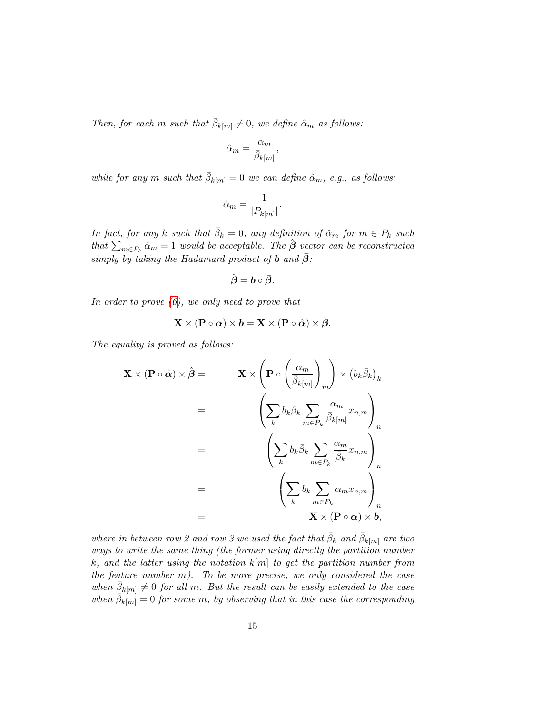Then, for each m such that  $\bar{\beta}_{k[m]} \neq 0$ , we define  $\hat{\alpha}_m$  as follows:

$$
\hat{\alpha}_m = \frac{\alpha_m}{\bar{\beta}_{k[m]}},
$$

while for any m such that  $\bar{\beta}_{k[m]} = 0$  we can define  $\hat{\alpha}_m$ , e.g., as follows:

$$
\hat{\alpha}_m = \frac{1}{|P_{k[m]}|}.
$$

In fact, for any k such that  $\bar{\beta}_k = 0$ , any definition of  $\hat{\alpha}_m$  for  $m \in P_k$  such that  $\sum_{m\in P_k}\hat{\alpha}_m=1$  would be acceptable. The  $\hat{\boldsymbol{\beta}}$  vector can be reconstructed simply by taking the Hadamard product of **b** and  $\bar{\beta}$ :

$$
\hat{\boldsymbol{\beta}} = \boldsymbol{b} \circ \bar{\boldsymbol{\beta}}.
$$

In order to prove  $(6)$ , we only need to prove that

$$
\mathbf{X} \times (\mathbf{P} \circ \boldsymbol{\alpha}) \times \boldsymbol{b} = \mathbf{X} \times (\mathbf{P} \circ \hat{\boldsymbol{\alpha}}) \times \hat{\boldsymbol{\beta}}.
$$

The equality is proved as follows:

$$
\mathbf{X} \times (\mathbf{P} \circ \hat{\boldsymbol{\alpha}}) \times \hat{\boldsymbol{\beta}} = \qquad \qquad \mathbf{X} \times \left( \mathbf{P} \circ \left( \frac{\alpha_m}{\bar{\beta}_{k[m]}} \right)_m \right) \times (b_k \bar{\beta}_k)_k
$$
\n
$$
= \qquad \qquad \left( \sum_k b_k \bar{\beta}_k \sum_{m \in P_k} \frac{\alpha_m}{\bar{\beta}_{k[m]}} x_{n,m} \right)_n
$$
\n
$$
= \qquad \qquad \left( \sum_k b_k \bar{\beta}_k \sum_{m \in P_k} \frac{\alpha_m}{\bar{\beta}_k} x_{n,m} \right)_n
$$
\n
$$
= \qquad \qquad \left( \sum_k b_k \sum_{m \in P_k} \alpha_m x_{n,m} \right)_n
$$
\n
$$
= \qquad \qquad \mathbf{X} \times (\mathbf{P} \circ \boldsymbol{\alpha}) \times \mathbf{b},
$$

where in between row 2 and row 3 we used the fact that  $\bar{\beta}_k$  and  $\bar{\beta}_{k[m]}$  are two ways to write the same thing (the former using directly the partition number k, and the latter using the notation  $k[m]$  to get the partition number from the feature number  $m$ ). To be more precise, we only considered the case when  $\bar{\beta}_{k[m]} \neq 0$  for all m. But the result can be easily extended to the case when  $\bar{\beta}_{k[m]} = 0$  for some m, by observing that in this case the corresponding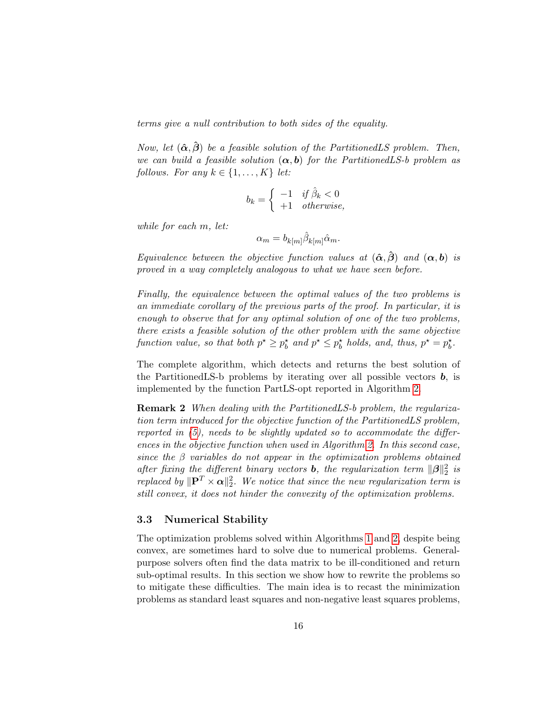terms give a null contribution to both sides of the equality.

Now, let  $(\hat{\alpha}, \hat{\beta})$  be a feasible solution of the PartitionedLS problem. Then, we can build a feasible solution  $(\alpha, b)$  for the PartitionedLS-b problem as follows. For any  $k \in \{1, \ldots, K\}$  let:

$$
b_k = \begin{cases} \n-1 & \text{if } \hat{\beta}_k < 0 \\ \n+1 & \text{otherwise,} \n\end{cases}
$$

while for each m, let:

$$
\alpha_m = b_{k[m]} \hat{\beta}_{k[m]} \hat{\alpha}_m.
$$

Equivalence between the objective function values at  $(\hat{\alpha}, \hat{\beta})$  and  $(\alpha, b)$  is proved in a way completely analogous to what we have seen before.

Finally, the equivalence between the optimal values of the two problems is an immediate corollary of the previous parts of the proof. In particular, it is enough to observe that for any optimal solution of one of the two problems, there exists a feasible solution of the other problem with the same objective function value, so that both  $p^* \geq p_b^*$  and  $p^* \leq p_b^*$  holds, and, thus,  $p^* = p_b^*$ .

The complete algorithm, which detects and returns the best solution of the Partitioned LS-b problems by iterating over all possible vectors  $\bm{b}$ , is implemented by the function PartLS-opt reported in Algorithm [2.](#page-16-0)

Remark 2 When dealing with the PartitionedLS-b problem, the regularization term introduced for the objective function of the PartitionedLS problem, reported in  $(5)$ , needs to be slightly updated so to accommodate the differences in the objective function when used in Algorithm [2.](#page-16-0) In this second case, since the  $\beta$  variables do not appear in the optimization problems obtained after fixing the different binary vectors **b**, the regularization term  $\|\boldsymbol{\beta}\|_2^2$  is replaced by  $\|\mathbf{P}^T \times \boldsymbol{\alpha}\|_2^2$ . We notice that since the new regularization term is still convex, it does not hinder the convexity of the optimization problems.

### <span id="page-15-0"></span>3.3 Numerical Stability

The optimization problems solved within Algorithms [1](#page-12-0) and [2,](#page-16-0) despite being convex, are sometimes hard to solve due to numerical problems. Generalpurpose solvers often find the data matrix to be ill-conditioned and return sub-optimal results. In this section we show how to rewrite the problems so to mitigate these difficulties. The main idea is to recast the minimization problems as standard least squares and non-negative least squares problems,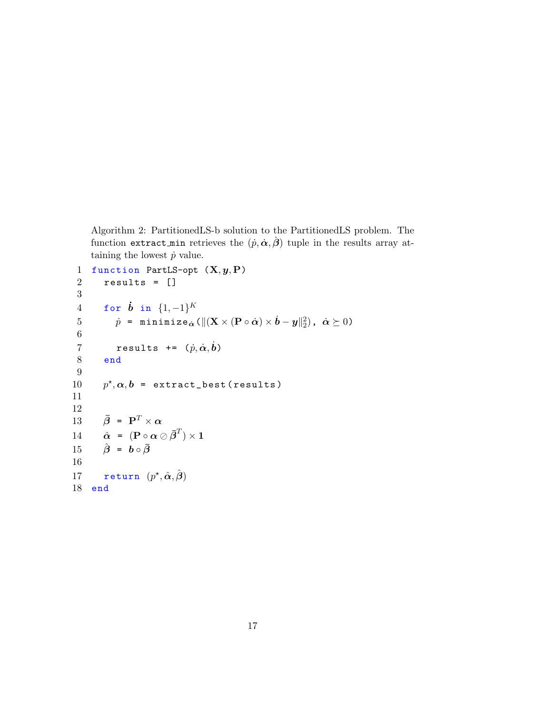<span id="page-16-0"></span>Algorithm 2: PartitionedLS-b solution to the PartitionedLS problem. The function extract min retrieves the  $(\dot{p}, \dot{\alpha}, \dot{\beta})$  tuple in the results array attaining the lowest  $\dot{p}$  value.

```
1 function PartLS-opt (X, y, P)2 results = []
  3
   4 for \dot{\boldsymbol{b}} in \{1,-1\}^K5 \dot{p} = minimize_{\dot{\boldsymbol{\alpha}}}(\|(\mathbf{X}\times(\mathbf{P}\circ\dot{\boldsymbol{\alpha}})\times\dot{\boldsymbol{b}}-\boldsymbol{y}\|_2^2), \dot{\boldsymbol{\alpha}}\succeq0)6
   7 results += (\dot{p}, \dot{\alpha}, \dot{b})8 end
 9
10<sup>°</sup>\star, \alpha, b = extract_best(results)
11
12
13 \bar{\beta} = \mathbf{P}^T \times \alpha14 \qquad \hat{\boldsymbol{\alpha}} \; = \; (\mathbf{P} \circ \boldsymbol{\alpha} \oslash \bar{\boldsymbol{\beta}}^T) \times \mathbf{1}15 \hat{\boldsymbol{\beta}} = \boldsymbol{b} \circ \bar{\boldsymbol{\beta}}16
17 return (p^{\star}, \hat{\boldsymbol{\alpha}}, \hat{\boldsymbol{\beta}})18 end
```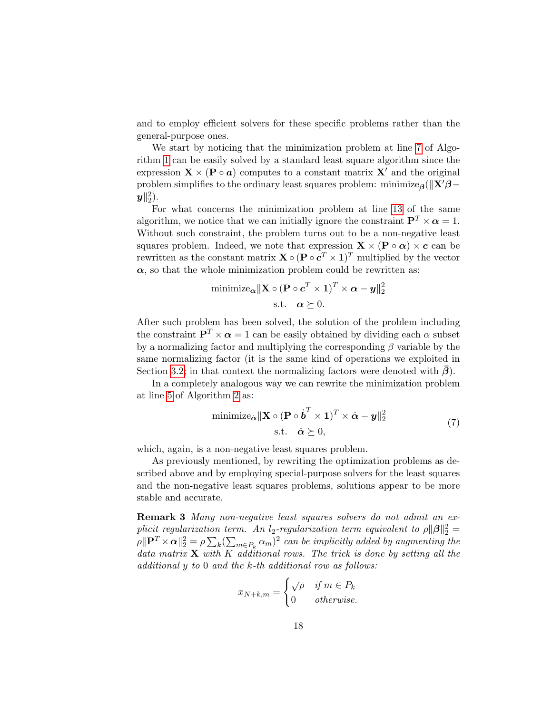and to employ efficient solvers for these specific problems rather than the general-purpose ones.

We start by noticing that the minimization problem at line [7](#page-12-1) of Algorithm [1](#page-12-0) can be easily solved by a standard least square algorithm since the expression  $\mathbf{X} \times (\mathbf{P} \circ \mathbf{a})$  computes to a constant matrix  $\mathbf{X}'$  and the original problem simplifies to the ordinary least squares problem: minimize $\beta(\mathbf{X}\mathbf{X}\mathbf{B}-\mathbf{B}\mathbf{X})$  $\bm{y} \|_{2}^{2}$ ).

For what concerns the minimization problem at line [13](#page-12-2) of the same algorithm, we notice that we can initially ignore the constraint  $\mathbf{P}^T \times \alpha = 1$ . Without such constraint, the problem turns out to be a non-negative least squares problem. Indeed, we note that expression  $\mathbf{X} \times (\mathbf{P} \circ \alpha) \times \mathbf{c}$  can be rewritten as the constant matrix  $\mathbf{X} \circ (\mathbf{P} \circ \mathbf{c}^T \times \mathbf{1})^T$  multiplied by the vector  $\alpha$ , so that the whole minimization problem could be rewritten as:

minimize<sub>**α**</sub> 
$$
||
$$
**X**  $\circ$  (**P**  $\circ$  **c**<sup>*T*</sup>  $\times$  **1**)<sup>*T*</sup>  $\times$  **α**  $-$  **y** $||_2^2$   
s.t. **α**  $\succeq$  0.

After such problem has been solved, the solution of the problem including the constraint  $\mathbf{P}^T \times \alpha = 1$  can be easily obtained by dividing each  $\alpha$  subset by a normalizing factor and multiplying the corresponding  $\beta$  variable by the same normalizing factor (it is the same kind of operations we exploited in Section [3.2;](#page-11-0) in that context the normalizing factors were denoted with  $\beta$ ).

In a completely analogous way we can rewrite the minimization problem at line [5](#page-16-1) of Algorithm [2](#page-16-0) as:

<span id="page-17-0"></span>
$$
\begin{aligned}\n\text{minimize}_{\dot{\alpha}} \|\mathbf{X} \circ (\mathbf{P} \circ \dot{\boldsymbol{b}}^T \times \mathbf{1})^T \times \dot{\boldsymbol{\alpha}} - \boldsymbol{y}\|_2^2 \\
\text{s.t.} \quad \dot{\boldsymbol{\alpha}} \succeq 0,\n\end{aligned} \tag{7}
$$

which, again, is a non-negative least squares problem.

As previously mentioned, by rewriting the optimization problems as described above and by employing special-purpose solvers for the least squares and the non-negative least squares problems, solutions appear to be more stable and accurate.

Remark 3 Many non-negative least squares solvers do not admit an explicit regularization term. An l<sub>2</sub>-regularization term equivalent to  $\rho ||\beta||_2^2 =$  $\rho\|\mathbf{P}^T\times\bm{\alpha}\|_2^2 = \rho\sum_k(\sum_{m\in P_k}\alpha_m)^2$  can be implicitly added by augmenting the data matrix  $X$  with  $K$  additional rows. The trick is done by setting all the additional y to 0 and the k-th additional row as follows:

$$
x_{N+k,m} = \begin{cases} \sqrt{\rho} & \text{if } m \in P_k \\ 0 & \text{otherwise.} \end{cases}
$$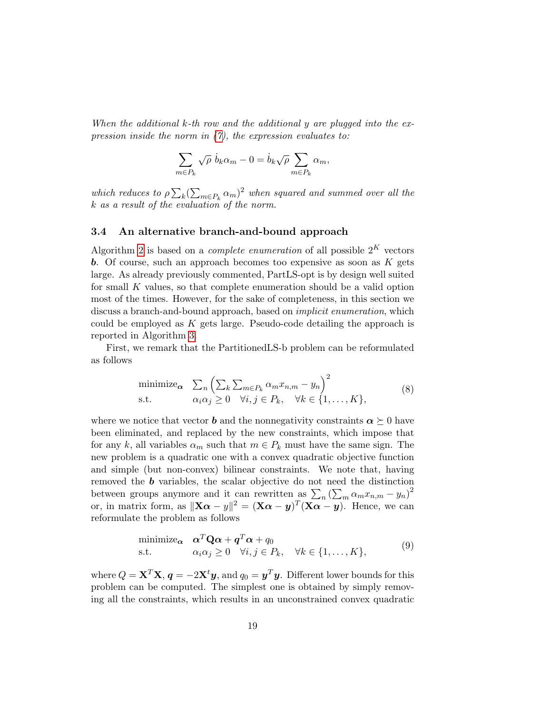When the additional k-th row and the additional y are plugged into the expression inside the norm in  $(7)$ , the expression evaluates to:

$$
\sum_{m \in P_k} \sqrt{\rho} \, \dot{b}_k \alpha_m - 0 = \dot{b}_k \sqrt{\rho} \sum_{m \in P_k} \alpha_m,
$$

which reduces to  $\rho \sum_{k} (\sum_{m \in P_k} \alpha_m)^2$  when squared and summed over all the k as a result of the evaluation of the norm.

#### <span id="page-18-0"></span>3.4 An alternative branch-and-bound approach

Algorithm [2](#page-16-0) is based on a *complete enumeration* of all possible  $2^K$  vectors **b.** Of course, such an approach becomes too expensive as soon as  $K$  gets large. As already previously commented, PartLS-opt is by design well suited for small K values, so that complete enumeration should be a valid option most of the times. However, for the sake of completeness, in this section we discuss a branch-and-bound approach, based on *implicit enumeration*, which could be employed as  $K$  gets large. Pseudo-code detailing the approach is reported in Algorithm [3.](#page-21-0)

First, we remark that the PartitionedLS-b problem can be reformulated as follows

<span id="page-18-2"></span>minimize<sub>**α**</sub> 
$$
\sum_{n} \left( \sum_{k} \sum_{m \in P_k} \alpha_m x_{n,m} - y_n \right)^2
$$
  
s.t.  $\alpha_i \alpha_j \ge 0 \quad \forall i, j \in P_k, \quad \forall k \in \{1, ..., K\},$  (8)

where we notice that vector **b** and the nonnegativity constraints  $\alpha \succeq 0$  have been eliminated, and replaced by the new constraints, which impose that for any k, all variables  $\alpha_m$  such that  $m \in P_k$  must have the same sign. The new problem is a quadratic one with a convex quadratic objective function and simple (but non-convex) bilinear constraints. We note that, having removed the  $\boldsymbol{b}$  variables, the scalar objective do not need the distinction between groups anymore and it can rewritten as  $\sum_{n} (\sum_{m} \alpha_m x_{n,m} - y_n)^2$ or, in matrix form, as  $||\mathbf{X}\boldsymbol{\alpha} - y||^2 = (\mathbf{X}\boldsymbol{\alpha} - \boldsymbol{y})^T (\mathbf{X}\boldsymbol{\alpha} - \boldsymbol{y})$ . Hence, we can reformulate the problem as follows

<span id="page-18-1"></span>minimize<sub>**$$
\alpha
$$**  $\mathbf{\alpha}^T \mathbf{Q} \mathbf{\alpha} + \mathbf{q}^T \mathbf{\alpha} + q_0$   
s.t.  $\alpha_i \alpha_j \ge 0 \quad \forall i, j \in P_k, \quad \forall k \in \{1, ..., K\},$  (9)</sub>

where  $Q = \mathbf{X}^T\mathbf{X},\bm{q} = -2\mathbf{X}^t\bm{y},$  and  $q_0 = \bm{y}^T\bm{y}.$  Different lower bounds for this problem can be computed. The simplest one is obtained by simply removing all the constraints, which results in an unconstrained convex quadratic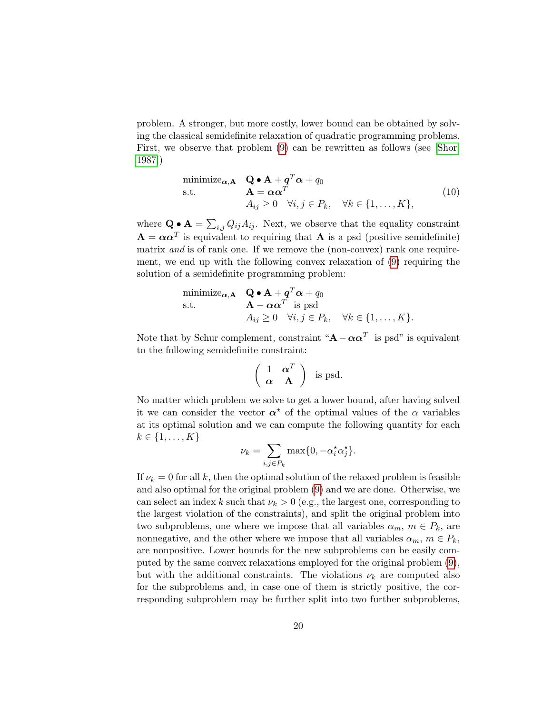problem. A stronger, but more costly, lower bound can be obtained by solving the classical semidefinite relaxation of quadratic programming problems. First, we observe that problem [\(9\)](#page-18-1) can be rewritten as follows (see [\[Shor,](#page-34-5) [1987\]](#page-34-5))

<span id="page-19-0"></span>
$$
\begin{array}{ll}\n\text{minimize}_{\alpha, \mathbf{A}} & \mathbf{Q} \bullet \mathbf{A} + \mathbf{q}^T \alpha + q_0 \\
\text{s.t.} & \mathbf{A} = \alpha \alpha^T \\
& A_{ij} \geq 0 \quad \forall i, j \in P_k, \quad \forall k \in \{1, \dots, K\},\n\end{array} \tag{10}
$$

where  $\mathbf{Q} \bullet \mathbf{A} = \sum_{i,j} Q_{ij} A_{ij}$ . Next, we observe that the equality constraint  $\mathbf{A} = \boldsymbol{\alpha} \boldsymbol{\alpha}^T$  is equivalent to requiring that  $\mathbf{A}$  is a psd (positive semidefinite) matrix and is of rank one. If we remove the (non-convex) rank one requirement, we end up with the following convex relaxation of [\(9\)](#page-18-1) requiring the solution of a semidefinite programming problem:

minimize<sub>$$
\alpha
$$
, **A**</sub>  $\mathbf{Q} \cdot \mathbf{A} + \mathbf{q}^T \alpha + q_0$   
s.t.  $\mathbf{A} - \alpha \alpha^T$  is psd  
 $A_{ij} \geq 0 \quad \forall i, j \in P_k, \quad \forall k \in \{1, ..., K\}.$ 

Note that by Schur complement, constraint " $A - \alpha \alpha^T$  is psd" is equivalent to the following semidefinite constraint:

$$
\left(\begin{array}{cc} 1 & \boldsymbol{\alpha}^T \\ \boldsymbol{\alpha} & \mathbf{A} \end{array}\right)
$$
 is psd.

No matter which problem we solve to get a lower bound, after having solved it we can consider the vector  $\alpha^*$  of the optimal values of the  $\alpha$  variables at its optimal solution and we can compute the following quantity for each  $k \in \{1, \ldots, K\}$ 

$$
\nu_k = \sum_{i,j \in P_k} \max\{0, -\alpha_i^* \alpha_j^*\}.
$$

If  $\nu_k = 0$  for all k, then the optimal solution of the relaxed problem is feasible and also optimal for the original problem [\(9\)](#page-18-1) and we are done. Otherwise, we can select an index k such that  $\nu_k > 0$  (e.g., the largest one, corresponding to the largest violation of the constraints), and split the original problem into two subproblems, one where we impose that all variables  $\alpha_m$ ,  $m \in P_k$ , are nonnegative, and the other where we impose that all variables  $\alpha_m$ ,  $m \in P_k$ , are nonpositive. Lower bounds for the new subproblems can be easily computed by the same convex relaxations employed for the original problem [\(9\)](#page-18-1), but with the additional constraints. The violations  $\nu_k$  are computed also for the subproblems and, in case one of them is strictly positive, the corresponding subproblem may be further split into two further subproblems,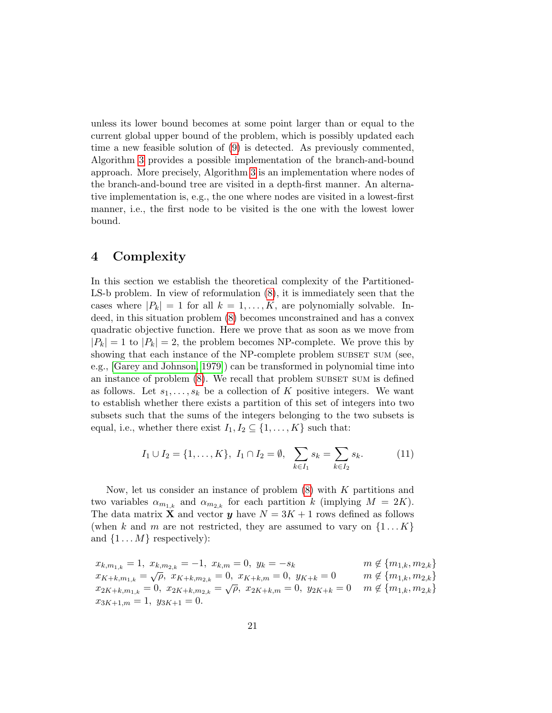unless its lower bound becomes at some point larger than or equal to the current global upper bound of the problem, which is possibly updated each time a new feasible solution of [\(9\)](#page-18-1) is detected. As previously commented, Algorithm [3](#page-21-0) provides a possible implementation of the branch-and-bound approach. More precisely, Algorithm [3](#page-21-0) is an implementation where nodes of the branch-and-bound tree are visited in a depth-first manner. An alternative implementation is, e.g., the one where nodes are visited in a lowest-first manner, i.e., the first node to be visited is the one with the lowest lower bound.

### 4 Complexity

In this section we establish the theoretical complexity of the Partitioned-LS-b problem. In view of reformulation [\(8\)](#page-18-2), it is immediately seen that the cases where  $|P_k| = 1$  for all  $k = 1, ..., K$ , are polynomially solvable. Indeed, in this situation problem [\(8\)](#page-18-2) becomes unconstrained and has a convex quadratic objective function. Here we prove that as soon as we move from  $|P_k| = 1$  to  $|P_k| = 2$ , the problem becomes NP-complete. We prove this by showing that each instance of the NP-complete problem subset sum (see, e.g., [\[Garey and Johnson, 1979\]](#page-33-7)) can be transformed in polynomial time into an instance of problem  $(8)$ . We recall that problem subset sum is defined as follows. Let  $s_1, \ldots, s_k$  be a collection of K positive integers. We want to establish whether there exists a partition of this set of integers into two subsets such that the sums of the integers belonging to the two subsets is equal, i.e., whether there exist  $I_1, I_2 \subseteq \{1, \ldots, K\}$  such that:

<span id="page-20-0"></span>
$$
I_1 \cup I_2 = \{1, ..., K\}, \ I_1 \cap I_2 = \emptyset, \sum_{k \in I_1} s_k = \sum_{k \in I_2} s_k. \tag{11}
$$

Now, let us consider an instance of problem  $(8)$  with K partitions and two variables  $\alpha_{m_{1,k}}$  and  $\alpha_{m_{2,k}}$  for each partition k (implying  $M = 2K$ ). The data matrix **X** and vector **y** have  $N = 3K + 1$  rows defined as follows (when k and m are not restricted, they are assumed to vary on  $\{1...K\}$ and  $\{1 \dots M\}$  respectively):

$$
x_{k,m_{1,k}} = 1, x_{k,m_{2,k}} = -1, x_{k,m} = 0, y_k = -s_k \qquad m \notin \{m_{1,k}, m_{2,k}\}
$$
  
\n
$$
x_{K+k,m_{1,k}} = \sqrt{\rho}, x_{K+k,m_{2,k}} = 0, x_{K+k,m} = 0, y_{K+k} = 0 \qquad m \notin \{m_{1,k}, m_{2,k}\}
$$
  
\n
$$
x_{2K+k,m_{1,k}} = 0, x_{2K+k,m_{2,k}} = \sqrt{\rho}, x_{2K+k,m} = 0, y_{2K+k} = 0 \qquad m \notin \{m_{1,k}, m_{2,k}\}
$$
  
\n
$$
x_{3K+1,m} = 1, y_{3K+1} = 0.
$$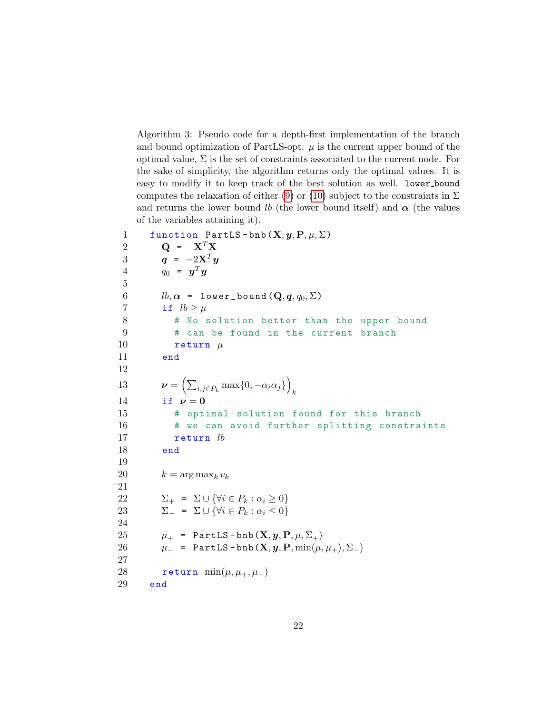<span id="page-21-0"></span>Algorithm 3: Pseudo code for a depth-first implementation of the branch and bound optimization of PartLS-opt.  $\mu$  is the current upper bound of the optimal value,  $\Sigma$  is the set of constraints associated to the current node. For the sake of simplicity, the algorithm returns only the optimal values. It is easy to modify it to keep track of the best solution as well. lower bound computes the relaxation of either [\(9\)](#page-18-1) or [\(10\)](#page-19-0) subject to the constraints in  $\Sigma$ and returns the lower bound lb (the lower bound itself) and  $\alpha$  (the values of the variables attaining it).

```
1 function PartLS-bnb (\mathbf{X}, y, \mathbf{P}, \mu, \Sigma)2 Q = X^T X3 q = -2X^T y4 q_0 = \boldsymbol{y}^T \boldsymbol{y}5
 6 lb, \alpha = \texttt{lower\_bound}(\mathbf{Q}, \mathbf{q}, q_0, \Sigma)7 if lb > \mu8 # No solution better than the upper bound
9 # can be found in the current branch
10 return \mu11 end
12
13 \boldsymbol{\nu} = \left( \sum_{i,j \in P_k} \max\{0, -\alpha_i \alpha_j\} \right)k
14 if \nu = 015 # optimal solution found for this branch
16 # we can avoid further splitting constraints
17 return lb
18 end
19
20 k = \arg \max_k v_k21
22 \Sigma_+ = \Sigma \cup \{ \forall i \in P_k : \alpha_i \geq 0 \}23 \Sigma_{-} = \Sigma \cup \{ \forall i \in P_k : \alpha_i \leq 0 \}24
25 \mu_+ = PartLS-bnb(\mathbf{X}, y, \mathbf{P}, \mu, \Sigma_+)
26 \mu_- = PartLS-bnb(X, y, P, min(\mu, \mu_+), \Sigma_-)
27
28 return min(\mu, \mu_+, \mu_-)29 end
```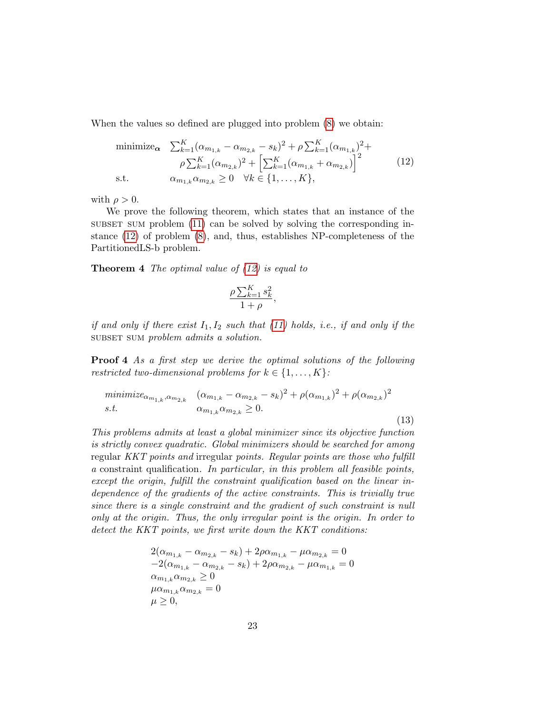When the values so defined are plugged into problem [\(8\)](#page-18-2) we obtain:

<span id="page-22-0"></span>minimize<sub>**α**</sub> 
$$
\sum_{k=1}^{K} (\alpha_{m_{1,k}} - \alpha_{m_{2,k}} - s_k)^2 + \rho \sum_{k=1}^{K} (\alpha_{m_{1,k}})^2 + \rho \sum_{k=1}^{K} (\alpha_{m_{2,k}})^2 + \left[ \sum_{k=1}^{K} (\alpha_{m_{1,k}} + \alpha_{m_{2,k}}) \right]^2
$$
 (12)  
s.t. 
$$
\alpha_{m_{1,k}} \alpha_{m_{2,k}} \ge 0 \quad \forall k \in \{1, ..., K\},
$$

with  $\rho > 0$ .

We prove the following theorem, which states that an instance of the subset sum problem  $(11)$  can be solved by solving the corresponding instance [\(12\)](#page-22-0) of problem [\(8\)](#page-18-2), and, thus, establishes NP-completeness of the PartitionedLS-b problem.

**Theorem 4** The optimal value of  $(12)$  is equal to

$$
\frac{\rho \sum_{k=1}^K s_k^2}{1+\rho},
$$

if and only if there exist  $I_1, I_2$  such that [\(11\)](#page-20-0) holds, i.e., if and only if the subset sum problem admits a solution.

Proof 4 As a first step we derive the optimal solutions of the following restricted two-dimensional problems for  $k \in \{1, \ldots, K\}$ :

<span id="page-22-1"></span>
$$
\begin{aligned}\n\minimize_{\alpha_{m_{1,k}}, \alpha_{m_{2,k}}} \quad & (\alpha_{m_{1,k}} - \alpha_{m_{2,k}} - s_k)^2 + \rho(\alpha_{m_{1,k}})^2 + \rho(\alpha_{m_{2,k}})^2 \\
& s.t. \quad & \alpha_{m_{1,k}} \alpha_{m_{2,k}} \ge 0.\n\end{aligned} \tag{13}
$$

This problems admits at least a global minimizer since its objective function is strictly convex quadratic. Global minimizers should be searched for among regular KKT points and irregular points. Regular points are those who fulfill a constraint qualification. In particular, in this problem all feasible points, except the origin, fulfill the constraint qualification based on the linear independence of the gradients of the active constraints. This is trivially true since there is a single constraint and the gradient of such constraint is null only at the origin. Thus, the only irregular point is the origin. In order to detect the KKT points, we first write down the KKT conditions:

$$
2(\alpha_{m_{1,k}} - \alpha_{m_{2,k}} - s_k) + 2\rho\alpha_{m_{1,k}} - \mu\alpha_{m_{2,k}} = 0
$$
  
-2( $\alpha_{m_{1,k}} - \alpha_{m_{2,k}} - s_k$ ) + 2 $\rho\alpha_{m_{2,k}} - \mu\alpha_{m_{1,k}} = 0$   
 $\alpha_{m_{1,k}}\alpha_{m_{2,k}} \ge 0$   
 $\mu\alpha_{m_{1,k}}\alpha_{m_{2,k}} = 0$   
 $\mu \ge 0$ ,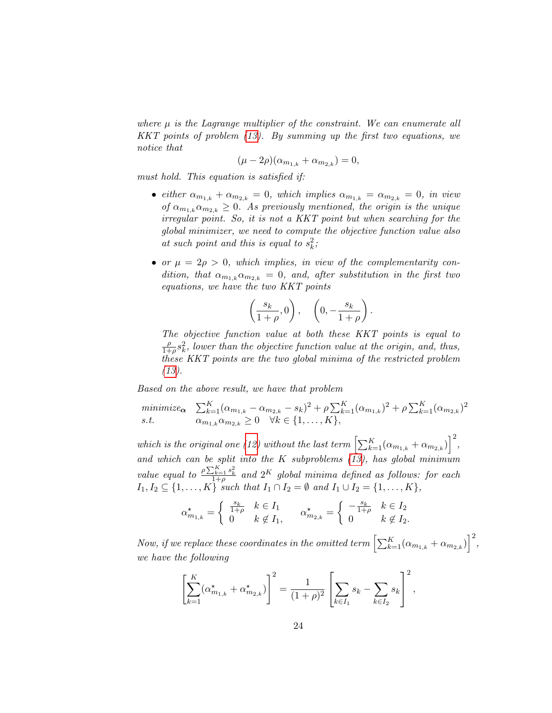where  $\mu$  is the Lagrange multiplier of the constraint. We can enumerate all KKT points of problem [\(13\)](#page-22-1). By summing up the first two equations, we notice that

$$
(\mu - 2\rho)(\alpha_{m_{1,k}} + \alpha_{m_{2,k}}) = 0,
$$

must hold. This equation is satisfied if:

- either  $\alpha_{m_{1,k}} + \alpha_{m_{2,k}} = 0$ , which implies  $\alpha_{m_{1,k}} = \alpha_{m_{2,k}} = 0$ , in view of  $\alpha_{m_1,k} \alpha_{m_2,k} \geq 0$ . As previously mentioned, the origin is the unique irregular point. So, it is not a KKT point but when searching for the global minimizer, we need to compute the objective function value also at such point and this is equal to  $s_k^2$ ;
- or  $\mu = 2\rho > 0$ , which implies, in view of the complementarity condition, that  $\alpha_{m_1,k} \alpha_{m_2,k} = 0$ , and, after substitution in the first two equations, we have the two KKT points

$$
\left(\frac{s_k}{1+\rho},0\right), \quad \left(0,-\frac{s_k}{1+\rho}\right)
$$

.

The objective function value at both these KKT points is equal to ρ  $\frac{\rho}{1+\rho}s_k^2$ , lower than the objective function value at the origin, and, thus, these KKT points are the two global minima of the restricted problem [\(13\)](#page-22-1).

Based on the above result, we have that problem

$$
\begin{array}{ll}\n\text{minimize}_{\alpha} & \sum_{k=1}^{K} (\alpha_{m_{1,k}} - \alpha_{m_{2,k}} - s_k)^2 + \rho \sum_{k=1}^{K} (\alpha_{m_{1,k}})^2 + \rho \sum_{k=1}^{K} (\alpha_{m_{2,k}})^2 \\
\text{s.t.} & \alpha_{m_{1,k}} \alpha_{m_{2,k}} \ge 0 \quad \forall k \in \{1, \dots, K\},\n\end{array}
$$

which is the original one [\(12\)](#page-22-0) without the last term  $\left[\sum_{k=1}^K (\alpha_{m_{1,k}} + \alpha_{m_{2,k}})\right]^2$ , and which can be split into the K subproblems  $(13)$ , has global minimum value equal to  $\frac{\rho \sum_{k=1}^{K} s_k^2}{1+\rho}$  and  $2^K$  global minima defined as follows: for each  $I_1, I_2 \subseteq \{1, ..., K\}$  such that  $I_1 \cap I_2 = \emptyset$  and  $I_1 \cup I_2 = \{1, ..., K\},$ 

$$
\alpha_{m_{1,k}}^\star=\left\{\begin{array}{ll} \frac{s_k}{1+\rho} & k\in I_1\\ 0 & k\not\in I_1,\end{array}\right.\quad \alpha_{m_{2,k}}^\star=\left\{\begin{array}{ll} -\frac{s_k}{1+\rho} & k\in I_2\\ 0 & k\not\in I_2.\end{array}\right.
$$

Now, if we replace these coordinates in the omitted term  $\left[\sum_{k=1}^K(\alpha_{m_{1,k}}+\alpha_{m_{2,k}})\right]^2$ , we have the following

$$
\left[\sum_{k=1}^{K} (\alpha_{m_{1,k}}^{\star} + \alpha_{m_{2,k}}^{\star})\right]^2 = \frac{1}{(1+\rho)^2} \left[\sum_{k \in I_1} s_k - \sum_{k \in I_2} s_k\right]^2,
$$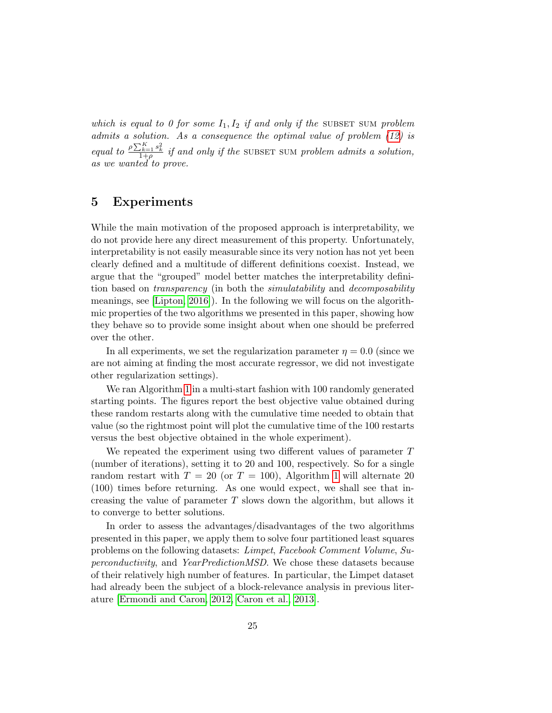which is equal to 0 for some  $I_1, I_2$  if and only if the SUBSET SUM problem admits a solution. As a consequence the optimal value of problem [\(12\)](#page-22-0) is equal to  $\frac{\rho \sum_{k=1}^{K} s_k^2}{1+\rho}$  if and only if the SUBSET SUM problem admits a solution, as we wanted to prove.

# <span id="page-24-0"></span>5 Experiments

While the main motivation of the proposed approach is interpretability, we do not provide here any direct measurement of this property. Unfortunately, interpretability is not easily measurable since its very notion has not yet been clearly defined and a multitude of different definitions coexist. Instead, we argue that the "grouped" model better matches the interpretability definition based on transparency (in both the simulatability and decomposability meanings, see [\[Lipton, 2016\]](#page-33-8)). In the following we will focus on the algorithmic properties of the two algorithms we presented in this paper, showing how they behave so to provide some insight about when one should be preferred over the other.

In all experiments, we set the regularization parameter  $\eta = 0.0$  (since we are not aiming at finding the most accurate regressor, we did not investigate other regularization settings).

We ran Algorithm [1](#page-12-0) in a multi-start fashion with 100 randomly generated starting points. The figures report the best objective value obtained during these random restarts along with the cumulative time needed to obtain that value (so the rightmost point will plot the cumulative time of the 100 restarts versus the best objective obtained in the whole experiment).

We repeated the experiment using two different values of parameter  $T$ (number of iterations), setting it to 20 and 100, respectively. So for a single random restart with  $T = 20$  (or  $T = 100$  $T = 100$  $T = 100$ ), Algorithm 1 will alternate 20 (100) times before returning. As one would expect, we shall see that increasing the value of parameter  $T$  slows down the algorithm, but allows it to converge to better solutions.

In order to assess the advantages/disadvantages of the two algorithms presented in this paper, we apply them to solve four partitioned least squares problems on the following datasets: Limpet, Facebook Comment Volume, Superconductivity, and YearPredictionMSD. We chose these datasets because of their relatively high number of features. In particular, the Limpet dataset had already been the subject of a block-relevance analysis in previous literature [\[Ermondi and Caron, 2012,](#page-32-5) [Caron et al., 2013\]](#page-32-1).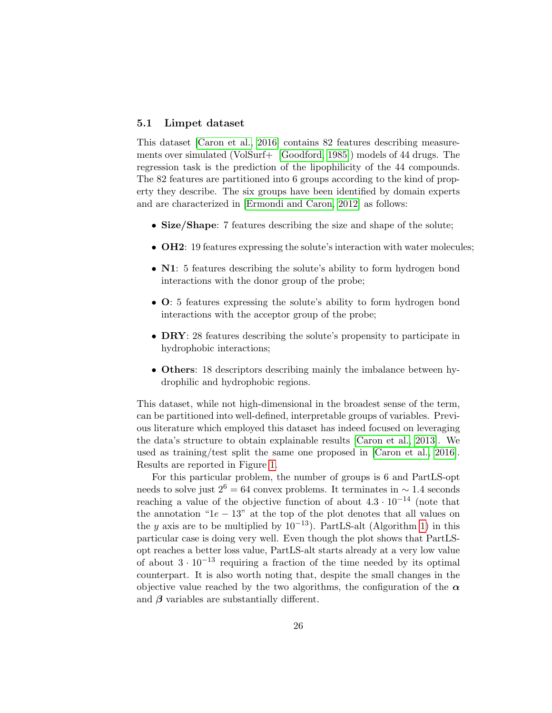### 5.1 Limpet dataset

This dataset [\[Caron et al., 2016\]](#page-32-6) contains 82 features describing measurements over simulated (VolSurf+ [\[Goodford, 1985\]](#page-33-9)) models of 44 drugs. The regression task is the prediction of the lipophilicity of the 44 compounds. The 82 features are partitioned into 6 groups according to the kind of property they describe. The six groups have been identified by domain experts and are characterized in [\[Ermondi and Caron, 2012\]](#page-32-5) as follows:

- Size/Shape: 7 features describing the size and shape of the solute;
- **OH2:** 19 features expressing the solute's interaction with water molecules;
- **N1**: 5 features describing the solute's ability to form hydrogen bond interactions with the donor group of the probe;
- O: 5 features expressing the solute's ability to form hydrogen bond interactions with the acceptor group of the probe;
- **DRY**: 28 features describing the solute's propensity to participate in hydrophobic interactions;
- Others: 18 descriptors describing mainly the imbalance between hydrophilic and hydrophobic regions.

This dataset, while not high-dimensional in the broadest sense of the term, can be partitioned into well-defined, interpretable groups of variables. Previous literature which employed this dataset has indeed focused on leveraging the data's structure to obtain explainable results [\[Caron et al., 2013\]](#page-32-1). We used as training/test split the same one proposed in [\[Caron et al., 2016\]](#page-32-6). Results are reported in Figure [1.](#page-26-0)

For this particular problem, the number of groups is 6 and PartLS-opt needs to solve just  $2^6 = 64$  convex problems. It terminates in  $\sim 1.4$  seconds reaching a value of the objective function of about  $4.3 \cdot 10^{-14}$  (note that the annotation "1e − 13" at the top of the plot denotes that all values on the y axis are to be multiplied by  $10^{-13}$ ). PartLS-alt (Algorithm [1\)](#page-12-0) in this particular case is doing very well. Even though the plot shows that PartLSopt reaches a better loss value, PartLS-alt starts already at a very low value of about  $3 \cdot 10^{-13}$  requiring a fraction of the time needed by its optimal counterpart. It is also worth noting that, despite the small changes in the objective value reached by the two algorithms, the configuration of the  $\alpha$ and  $\beta$  variables are substantially different.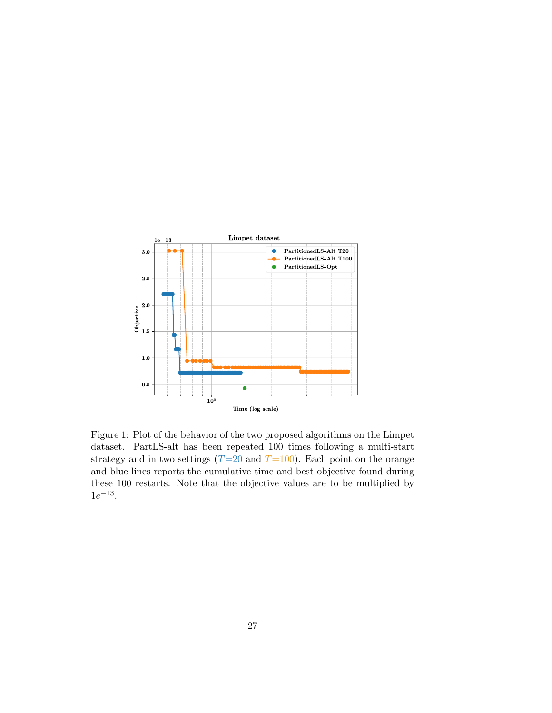

<span id="page-26-0"></span>Figure 1: Plot of the behavior of the two proposed algorithms on the Limpet dataset. PartLS-alt has been repeated 100 times following a multi-start strategy and in two settings  $(T=20 \text{ and } T=100)$ . Each point on the orange and blue lines reports the cumulative time and best objective found during these 100 restarts. Note that the objective values are to be multiplied by  $1e^{-13}$ .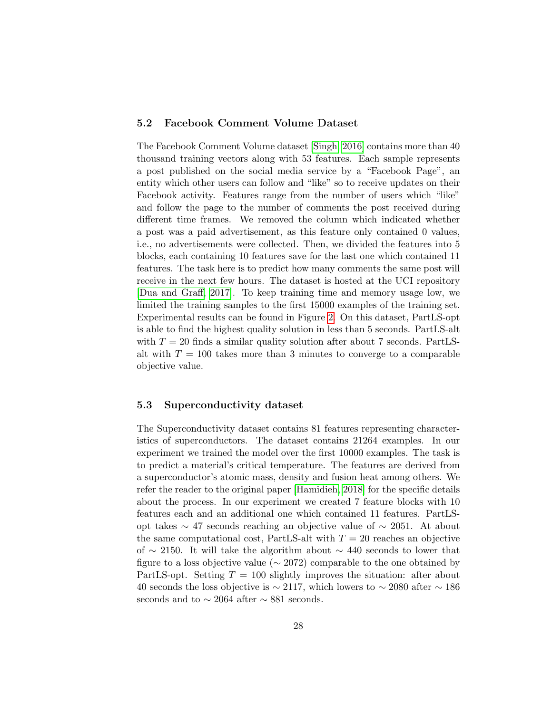### 5.2 Facebook Comment Volume Dataset

The Facebook Comment Volume dataset [\[Singh, 2016\]](#page-34-6) contains more than 40 thousand training vectors along with 53 features. Each sample represents a post published on the social media service by a "Facebook Page", an entity which other users can follow and "like" so to receive updates on their Facebook activity. Features range from the number of users which "like" and follow the page to the number of comments the post received during different time frames. We removed the column which indicated whether a post was a paid advertisement, as this feature only contained 0 values, i.e., no advertisements were collected. Then, we divided the features into 5 blocks, each containing 10 features save for the last one which contained 11 features. The task here is to predict how many comments the same post will receive in the next few hours. The dataset is hosted at the UCI repository [\[Dua and Graff, 2017\]](#page-32-2). To keep training time and memory usage low, we limited the training samples to the first 15000 examples of the training set. Experimental results can be found in Figure [2.](#page-28-0) On this dataset, PartLS-opt is able to find the highest quality solution in less than 5 seconds. PartLS-alt with  $T = 20$  finds a similar quality solution after about 7 seconds. PartLSalt with  $T = 100$  takes more than 3 minutes to converge to a comparable objective value.

### 5.3 Superconductivity dataset

The Superconductivity dataset contains 81 features representing characteristics of superconductors. The dataset contains 21264 examples. In our experiment we trained the model over the first 10000 examples. The task is to predict a material's critical temperature. The features are derived from a superconductor's atomic mass, density and fusion heat among others. We refer the reader to the original paper [\[Hamidieh, 2018\]](#page-33-10) for the specific details about the process. In our experiment we created 7 feature blocks with 10 features each and an additional one which contained 11 features. PartLSopt takes  $\sim$  47 seconds reaching an objective value of  $\sim$  2051. At about the same computational cost, PartLS-alt with  $T = 20$  reaches an objective of ∼ 2150. It will take the algorithm about  $\sim$  440 seconds to lower that figure to a loss objective value ( $\sim$  2072) comparable to the one obtained by PartLS-opt. Setting  $T = 100$  slightly improves the situation: after about 40 seconds the loss objective is  $\sim$  2117, which lowers to  $\sim$  2080 after  $\sim$  186 seconds and to  $\sim 2064$  after  $\sim 881$  seconds.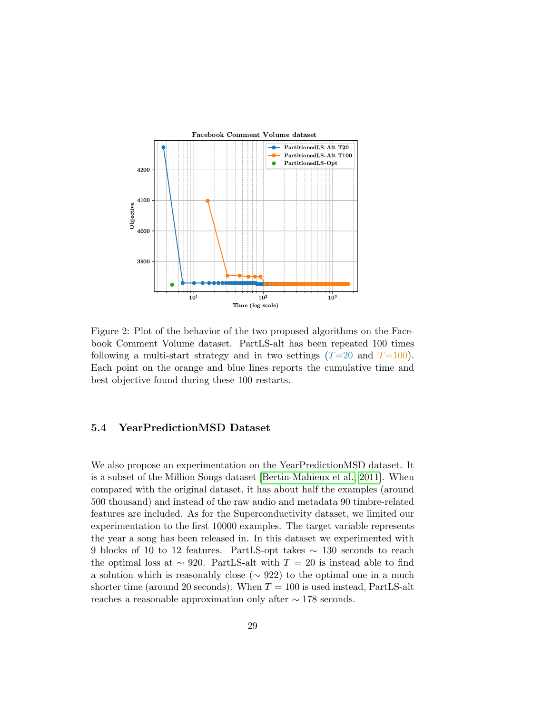

<span id="page-28-0"></span>Figure 2: Plot of the behavior of the two proposed algorithms on the Facebook Comment Volume dataset. PartLS-alt has been repeated 100 times following a multi-start strategy and in two settings  $(T=20$  and  $T=100)$ . Each point on the orange and blue lines reports the cumulative time and best objective found during these 100 restarts.

### 5.4 YearPredictionMSD Dataset

We also propose an experimentation on the YearPredictionMSD dataset. It is a subset of the Million Songs dataset [\[Bertin-Mahieux et al., 2011\]](#page-32-7). When compared with the original dataset, it has about half the examples (around 500 thousand) and instead of the raw audio and metadata 90 timbre-related features are included. As for the Superconductivity dataset, we limited our experimentation to the first 10000 examples. The target variable represents the year a song has been released in. In this dataset we experimented with 9 blocks of 10 to 12 features. PartLS-opt takes ∼ 130 seconds to reach the optimal loss at  $\sim$  920. PartLS-alt with  $T = 20$  is instead able to find a solution which is reasonably close ( $\sim$  922) to the optimal one in a much shorter time (around 20 seconds). When  $T = 100$  is used instead, PartLS-alt reaches a reasonable approximation only after ∼ 178 seconds.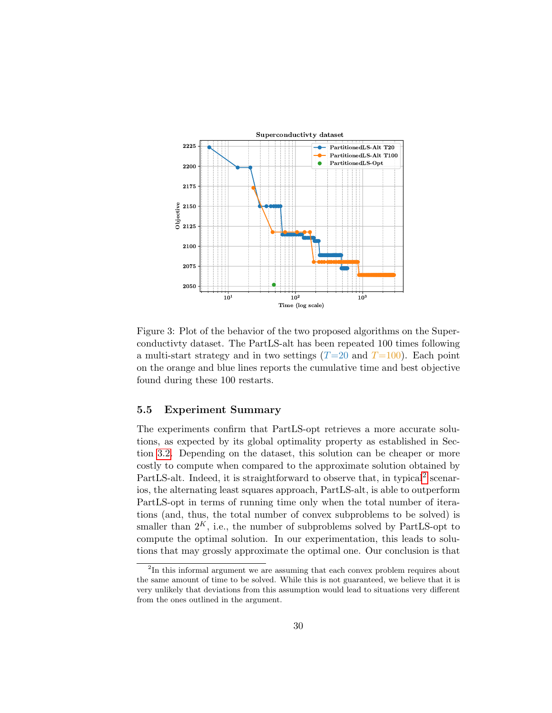

Figure 3: Plot of the behavior of the two proposed algorithms on the Superconductivty dataset. The PartLS-alt has been repeated 100 times following a multi-start strategy and in two settings  $(T=20 \text{ and } T=100)$ . Each point on the orange and blue lines reports the cumulative time and best objective found during these 100 restarts.

### 5.5 Experiment Summary

The experiments confirm that PartLS-opt retrieves a more accurate solutions, as expected by its global optimality property as established in Section [3.2.](#page-11-0) Depending on the dataset, this solution can be cheaper or more costly to compute when compared to the approximate solution obtained by PartLS-alt. Indeed, it is straightforward to observe that, in typical<sup>[2](#page-29-0)</sup> scenarios, the alternating least squares approach, PartLS-alt, is able to outperform PartLS-opt in terms of running time only when the total number of iterations (and, thus, the total number of convex subproblems to be solved) is smaller than  $2^K$ , i.e., the number of subproblems solved by PartLS-opt to compute the optimal solution. In our experimentation, this leads to solutions that may grossly approximate the optimal one. Our conclusion is that

<span id="page-29-0"></span><sup>&</sup>lt;sup>2</sup>In this informal argument we are assuming that each convex problem requires about the same amount of time to be solved. While this is not guaranteed, we believe that it is very unlikely that deviations from this assumption would lead to situations very different from the ones outlined in the argument.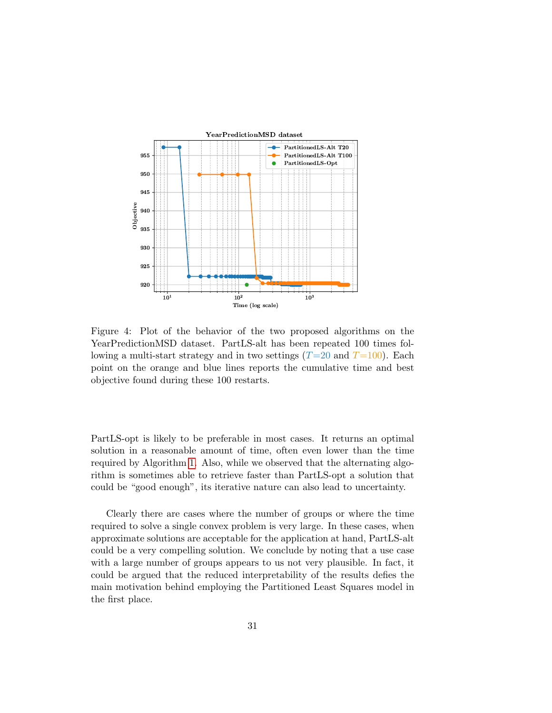

Figure 4: Plot of the behavior of the two proposed algorithms on the YearPredictionMSD dataset. PartLS-alt has been repeated 100 times following a multi-start strategy and in two settings  $(T=20 \text{ and } T=100)$ . Each point on the orange and blue lines reports the cumulative time and best objective found during these 100 restarts.

PartLS-opt is likely to be preferable in most cases. It returns an optimal solution in a reasonable amount of time, often even lower than the time required by Algorithm [1.](#page-12-0) Also, while we observed that the alternating algorithm is sometimes able to retrieve faster than PartLS-opt a solution that could be "good enough", its iterative nature can also lead to uncertainty.

Clearly there are cases where the number of groups or where the time required to solve a single convex problem is very large. In these cases, when approximate solutions are acceptable for the application at hand, PartLS-alt could be a very compelling solution. We conclude by noting that a use case with a large number of groups appears to us not very plausible. In fact, it could be argued that the reduced interpretability of the results defies the main motivation behind employing the Partitioned Least Squares model in the first place.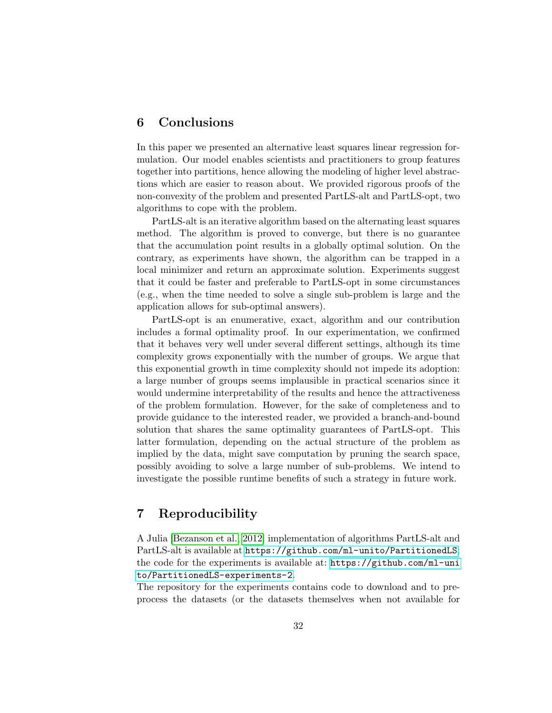### 6 Conclusions

In this paper we presented an alternative least squares linear regression formulation. Our model enables scientists and practitioners to group features together into partitions, hence allowing the modeling of higher level abstractions which are easier to reason about. We provided rigorous proofs of the non-convexity of the problem and presented PartLS-alt and PartLS-opt, two algorithms to cope with the problem.

PartLS-alt is an iterative algorithm based on the alternating least squares method. The algorithm is proved to converge, but there is no guarantee that the accumulation point results in a globally optimal solution. On the contrary, as experiments have shown, the algorithm can be trapped in a local minimizer and return an approximate solution. Experiments suggest that it could be faster and preferable to PartLS-opt in some circumstances (e.g., when the time needed to solve a single sub-problem is large and the application allows for sub-optimal answers).

PartLS-opt is an enumerative, exact, algorithm and our contribution includes a formal optimality proof. In our experimentation, we confirmed that it behaves very well under several different settings, although its time complexity grows exponentially with the number of groups. We argue that this exponential growth in time complexity should not impede its adoption: a large number of groups seems implausible in practical scenarios since it would undermine interpretability of the results and hence the attractiveness of the problem formulation. However, for the sake of completeness and to provide guidance to the interested reader, we provided a branch-and-bound solution that shares the same optimality guarantees of PartLS-opt. This latter formulation, depending on the actual structure of the problem as implied by the data, might save computation by pruning the search space, possibly avoiding to solve a large number of sub-problems. We intend to investigate the possible runtime benefits of such a strategy in future work.

# 7 Reproducibility

A Julia [\[Bezanson et al., 2012\]](#page-32-8) implementation of algorithms PartLS-alt and PartLS-alt is available at <https://github.com/ml-unito/PartitionedLS>; the code for the experiments is available at: [https://github.com/ml-uni](https://github.com/ml-unito/PartitionedLS-experiments-2) [to/PartitionedLS-experiments-2](https://github.com/ml-unito/PartitionedLS-experiments-2).

The repository for the experiments contains code to download and to preprocess the datasets (or the datasets themselves when not available for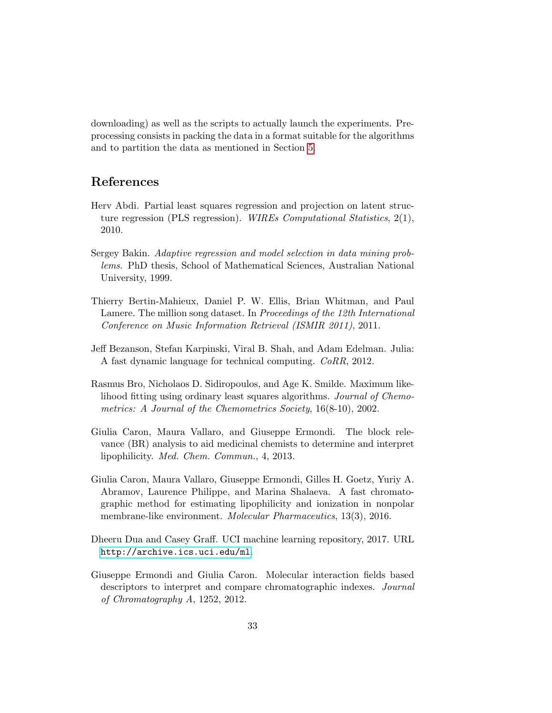downloading) as well as the scripts to actually launch the experiments. Preprocessing consists in packing the data in a format suitable for the algorithms and to partition the data as mentioned in Section [5.](#page-24-0)

# References

- <span id="page-32-3"></span>Herv Abdi. Partial least squares regression and projection on latent structure regression (PLS regression). WIREs Computational Statistics, 2(1), 2010.
- <span id="page-32-4"></span>Sergey Bakin. Adaptive regression and model selection in data mining problems. PhD thesis, School of Mathematical Sciences, Australian National University, 1999.
- <span id="page-32-7"></span>Thierry Bertin-Mahieux, Daniel P. W. Ellis, Brian Whitman, and Paul Lamere. The million song dataset. In *Proceedings of the 12th International* Conference on Music Information Retrieval (ISMIR 2011), 2011.
- <span id="page-32-8"></span>Jeff Bezanson, Stefan Karpinski, Viral B. Shah, and Adam Edelman. Julia: A fast dynamic language for technical computing. CoRR, 2012.
- <span id="page-32-0"></span>Rasmus Bro, Nicholaos D. Sidiropoulos, and Age K. Smilde. Maximum likelihood fitting using ordinary least squares algorithms. Journal of Chemometrics: A Journal of the Chemometrics Society, 16(8-10), 2002.
- <span id="page-32-1"></span>Giulia Caron, Maura Vallaro, and Giuseppe Ermondi. The block relevance (BR) analysis to aid medicinal chemists to determine and interpret lipophilicity. Med. Chem. Commun., 4, 2013.
- <span id="page-32-6"></span>Giulia Caron, Maura Vallaro, Giuseppe Ermondi, Gilles H. Goetz, Yuriy A. Abramov, Laurence Philippe, and Marina Shalaeva. A fast chromatographic method for estimating lipophilicity and ionization in nonpolar membrane-like environment. *Molecular Pharmaceutics*, 13(3), 2016.
- <span id="page-32-2"></span>Dheeru Dua and Casey Graff. UCI machine learning repository, 2017. URL <http://archive.ics.uci.edu/ml>.
- <span id="page-32-5"></span>Giuseppe Ermondi and Giulia Caron. Molecular interaction fields based descriptors to interpret and compare chromatographic indexes. Journal of Chromatography A, 1252, 2012.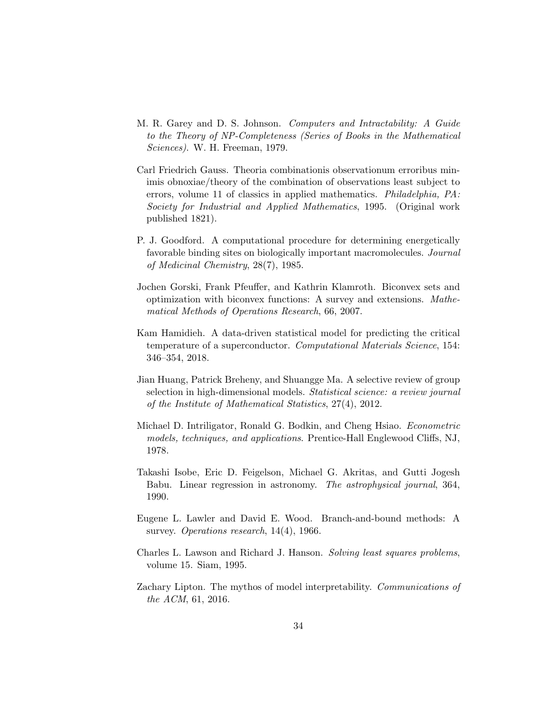- <span id="page-33-7"></span>M. R. Garey and D. S. Johnson. Computers and Intractability: A Guide to the Theory of NP-Completeness (Series of Books in the Mathematical Sciences). W. H. Freeman, 1979.
- <span id="page-33-2"></span>Carl Friedrich Gauss. Theoria combinationis observationum erroribus minimis obnoxiae/theory of the combination of observations least subject to errors, volume 11 of classics in applied mathematics. Philadelphia, PA: Society for Industrial and Applied Mathematics, 1995. (Original work published 1821).
- <span id="page-33-9"></span>P. J. Goodford. A computational procedure for determining energetically favorable binding sites on biologically important macromolecules. Journal of Medicinal Chemistry, 28(7), 1985.
- <span id="page-33-6"></span>Jochen Gorski, Frank Pfeuffer, and Kathrin Klamroth. Biconvex sets and optimization with biconvex functions: A survey and extensions. Mathematical Methods of Operations Research, 66, 2007.
- <span id="page-33-10"></span>Kam Hamidieh. A data-driven statistical model for predicting the critical temperature of a superconductor. Computational Materials Science, 154: 346–354, 2018.
- <span id="page-33-4"></span>Jian Huang, Patrick Breheny, and Shuangge Ma. A selective review of group selection in high-dimensional models. Statistical science: a review journal of the Institute of Mathematical Statistics, 27(4), 2012.
- <span id="page-33-0"></span>Michael D. Intriligator, Ronald G. Bodkin, and Cheng Hsiao. Econometric models, techniques, and applications. Prentice-Hall Englewood Cliffs, NJ, 1978.
- <span id="page-33-1"></span>Takashi Isobe, Eric D. Feigelson, Michael G. Akritas, and Gutti Jogesh Babu. Linear regression in astronomy. The astrophysical journal, 364, 1990.
- <span id="page-33-3"></span>Eugene L. Lawler and David E. Wood. Branch-and-bound methods: A survey. *Operations research*, 14(4), 1966.
- <span id="page-33-5"></span>Charles L. Lawson and Richard J. Hanson. Solving least squares problems, volume 15. Siam, 1995.
- <span id="page-33-8"></span>Zachary Lipton. The mythos of model interpretability. Communications of the ACM, 61, 2016.